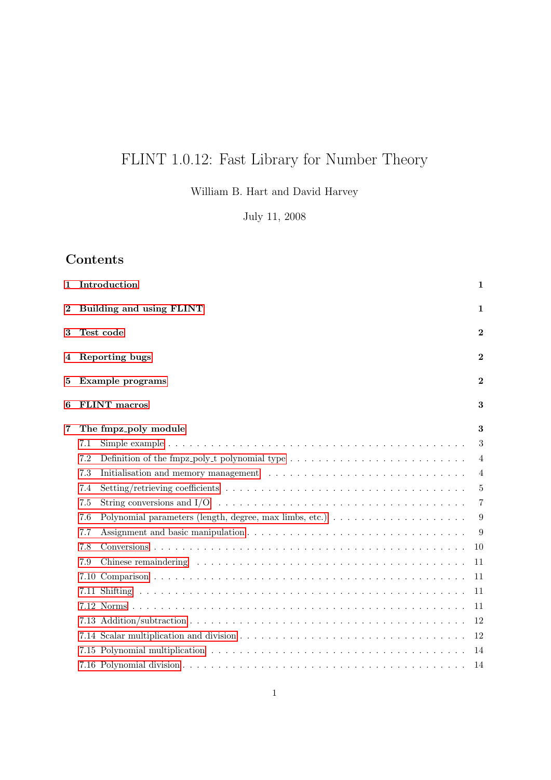# FLINT 1.0.12: Fast Library for Number Theory

William B. Hart and David Harvey

July 11, 2008

### Contents

| 1        |      | Introduction                                                                                                     | 1              |
|----------|------|------------------------------------------------------------------------------------------------------------------|----------------|
| $\bf{2}$ |      | Building and using FLINT                                                                                         | 1              |
| 3        |      | Test code                                                                                                        | $\bf{2}$       |
|          |      | 4 Reporting bugs                                                                                                 | $\bf{2}$       |
| 5        |      | Example programs                                                                                                 | $\bf{2}$       |
| 6        |      | <b>FLINT</b> macros                                                                                              | 3              |
| 7        |      | The fmpz_poly module                                                                                             | 3              |
|          | 7.1  |                                                                                                                  | 3              |
|          | 7.2  |                                                                                                                  | $\overline{4}$ |
|          | 7.3  |                                                                                                                  | $\overline{4}$ |
|          | 7.4  |                                                                                                                  | 5              |
|          | 7.5  | String conversions and $I/O \dots \dots \dots \dots \dots \dots \dots \dots \dots \dots \dots \dots \dots \dots$ | 7              |
|          | 7.6  | Polynomial parameters (length, degree, max limbs, etc.) $\ldots \ldots \ldots \ldots \ldots \ldots$              | 9              |
|          | 7.7  |                                                                                                                  | 9              |
|          | 7.8  |                                                                                                                  | 10             |
|          | 7.9  |                                                                                                                  | 11             |
|          | 7.10 |                                                                                                                  | 11             |
|          |      |                                                                                                                  | 11             |
|          |      |                                                                                                                  | 11             |
|          |      |                                                                                                                  | 12             |
|          |      |                                                                                                                  | 12             |
|          |      |                                                                                                                  | 14             |
|          |      |                                                                                                                  | 14             |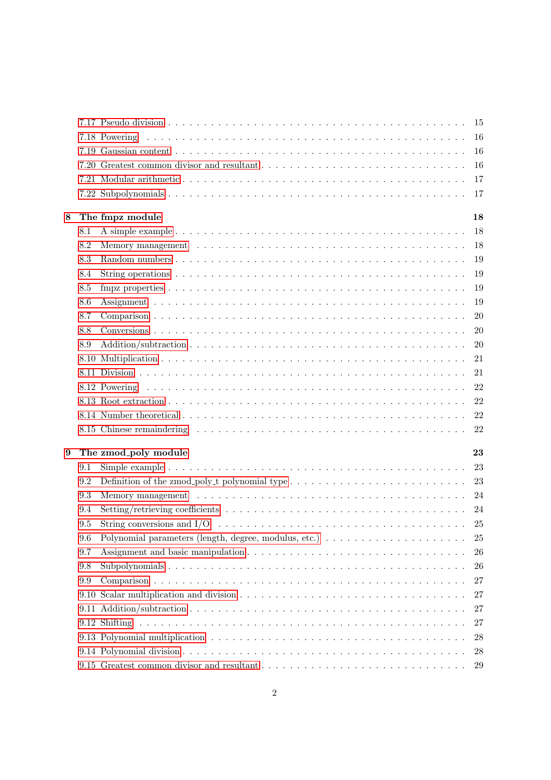|   |      |                                                                                                                      | -15           |
|---|------|----------------------------------------------------------------------------------------------------------------------|---------------|
|   |      |                                                                                                                      |               |
|   |      |                                                                                                                      | -16           |
|   |      |                                                                                                                      | -16           |
|   |      |                                                                                                                      | 17            |
|   |      |                                                                                                                      | -17           |
| 8 |      | The fmpz module                                                                                                      | 18            |
|   | 8.1  |                                                                                                                      | <sup>18</sup> |
|   | 8.2  |                                                                                                                      | <sup>18</sup> |
|   | 8.3  |                                                                                                                      | 19            |
|   | 8.4  |                                                                                                                      | 19            |
|   | 8.5  |                                                                                                                      | 19            |
|   | 8.6  |                                                                                                                      | 19            |
|   | 8.7  |                                                                                                                      | <b>20</b>     |
|   | 8.8  |                                                                                                                      | 20            |
|   | 8.9  |                                                                                                                      | 20            |
|   |      |                                                                                                                      | 21            |
|   |      |                                                                                                                      | 21            |
|   |      |                                                                                                                      | 22            |
|   |      |                                                                                                                      | 22            |
|   |      |                                                                                                                      | 22            |
|   |      |                                                                                                                      | 22            |
| 9 |      | The zmod_poly module                                                                                                 | 23            |
|   | 9.1  |                                                                                                                      | 23            |
|   | 9.2  | Definition of the zmod_poly_t polynomial type $\dots \dots \dots \dots \dots \dots \dots \dots \dots \dots \dots$ 23 |               |
|   | 9.3  |                                                                                                                      | 24            |
|   | 9.4  |                                                                                                                      | - 24          |
|   | 9.5  | String conversions and $I/O \dots \dots \dots \dots \dots \dots \dots \dots \dots \dots \dots \dots \dots$           | 25            |
|   | 9.6  |                                                                                                                      | 25            |
|   | 9.7  |                                                                                                                      | 26            |
|   | 9.8  |                                                                                                                      | 26            |
|   | 9.9  |                                                                                                                      | 27            |
|   | 9.10 |                                                                                                                      | 27            |
|   |      |                                                                                                                      | 27            |
|   |      |                                                                                                                      | 27            |
|   |      |                                                                                                                      |               |
|   |      |                                                                                                                      |               |
|   |      |                                                                                                                      | 28<br>28      |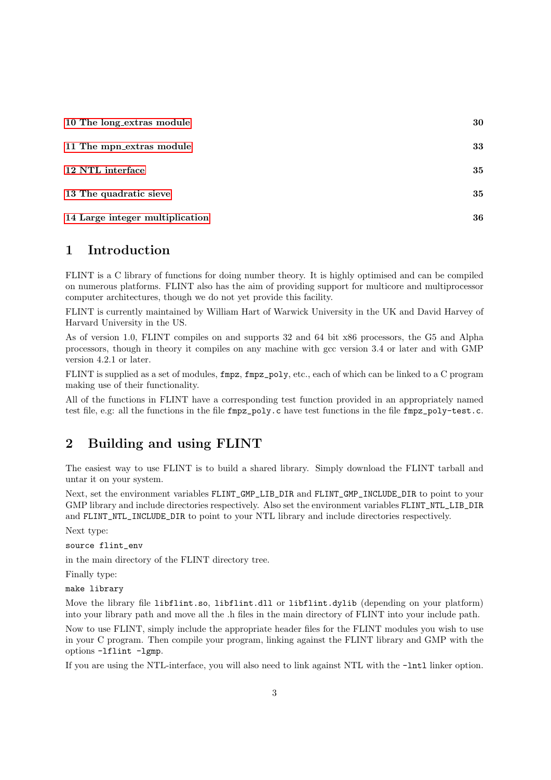| 10 The long_extras module       | 30 |
|---------------------------------|----|
| 11 The mpn_extras module        | 33 |
| 12 NTL interface                | 35 |
| 13 The quadratic sieve          | 35 |
| 14 Large integer multiplication | 36 |

### <span id="page-2-0"></span>1 Introduction

FLINT is a C library of functions for doing number theory. It is highly optimised and can be compiled on numerous platforms. FLINT also has the aim of providing support for multicore and multiprocessor computer architectures, though we do not yet provide this facility.

FLINT is currently maintained by William Hart of Warwick University in the UK and David Harvey of Harvard University in the US.

As of version 1.0, FLINT compiles on and supports 32 and 64 bit x86 processors, the G5 and Alpha processors, though in theory it compiles on any machine with gcc version 3.4 or later and with GMP version 4.2.1 or later.

FLINT is supplied as a set of modules, fmpz, fmpz\_poly, etc., each of which can be linked to a C program making use of their functionality.

All of the functions in FLINT have a corresponding test function provided in an appropriately named test file, e.g: all the functions in the file fmpz\_poly.c have test functions in the file fmpz\_poly-test.c.

### <span id="page-2-1"></span>2 Building and using FLINT

The easiest way to use FLINT is to build a shared library. Simply download the FLINT tarball and untar it on your system.

Next, set the environment variables FLINT\_GMP\_LIB\_DIR and FLINT\_GMP\_INCLUDE\_DIR to point to your GMP library and include directories respectively. Also set the environment variables FLINT\_NTL\_LIB\_DIR and FLINT\_NTL\_INCLUDE\_DIR to point to your NTL library and include directories respectively.

Next type:

source flint\_env

in the main directory of the FLINT directory tree.

Finally type:

make library

Move the library file libflint.so, libflint.dll or libflint.dylib (depending on your platform) into your library path and move all the .h files in the main directory of FLINT into your include path.

Now to use FLINT, simply include the appropriate header files for the FLINT modules you wish to use in your C program. Then compile your program, linking against the FLINT library and GMP with the options -lflint -lgmp.

If you are using the NTL-interface, you will also need to link against NTL with the -lntl linker option.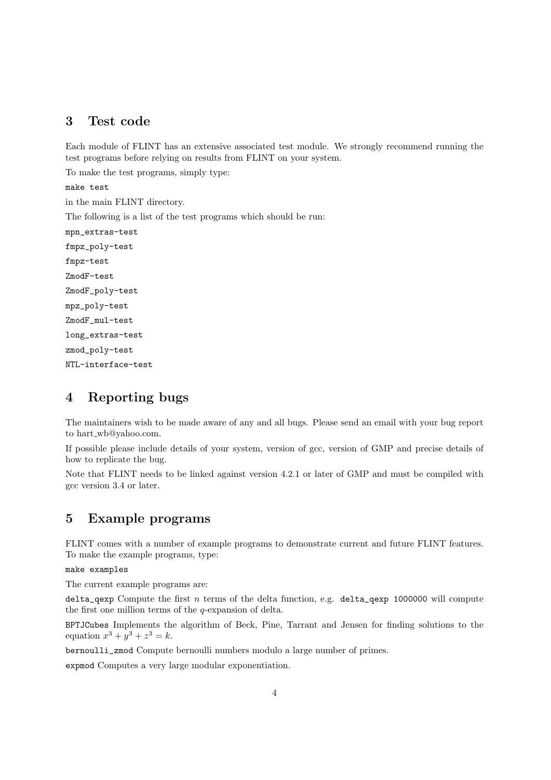### <span id="page-3-0"></span>3 Test code

Each module of FLINT has an extensive associated test module. We strongly recommend running the test programs before relying on results from FLINT on your system.

To make the test programs, simply type:

make test

in the main FLINT directory.

The following is a list of the test programs which should be run:

mpn\_extras-test fmpz\_poly-test fmpz-test ZmodF-test ZmodF\_poly-test mpz\_poly-test ZmodF\_mul-test long\_extras-test zmod\_poly-test NTL-interface-test

### <span id="page-3-1"></span>4 Reporting bugs

The maintainers wish to be made aware of any and all bugs. Please send an email with your bug report to hart\_wb@yahoo.com.

If possible please include details of your system, version of gcc, version of GMP and precise details of how to replicate the bug.

Note that FLINT needs to be linked against version 4.2.1 or later of GMP and must be compiled with gcc version 3.4 or later.

### <span id="page-3-2"></span>5 Example programs

FLINT comes with a number of example programs to demonstrate current and future FLINT features. To make the example programs, type:

make examples

The current example programs are:

delta\_qexp Compute the first  $n$  terms of the delta function, e.g. delta\_qexp 1000000 will compute the first one million terms of the q-expansion of delta.

BPTJCubes Implements the algorithm of Beck, Pine, Tarrant and Jensen for finding solutions to the equation  $x^3 + y^3 + z^3 = k$ .

bernoulli\_zmod Compute bernoulli numbers modulo a large number of primes.

expmod Computes a very large modular exponentiation.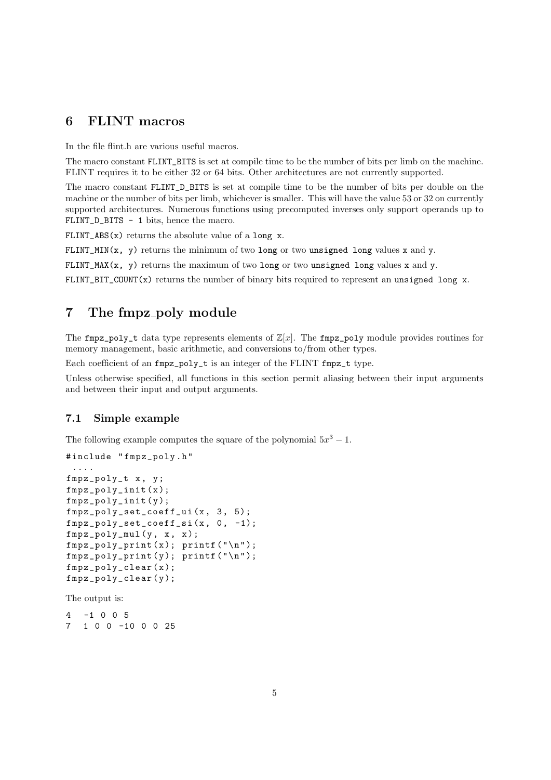### <span id="page-4-0"></span>6 FLINT macros

In the file flint.h are various useful macros.

The macro constant FLINT\_BITS is set at compile time to be the number of bits per limb on the machine. FLINT requires it to be either 32 or 64 bits. Other architectures are not currently supported.

The macro constant FLINT\_D\_BITS is set at compile time to be the number of bits per double on the machine or the number of bits per limb, whichever is smaller. This will have the value 53 or 32 on currently supported architectures. Numerous functions using precomputed inverses only support operands up to FLINT\_D\_BITS - 1 bits, hence the macro.

FLINT\_ABS $(x)$  returns the absolute value of a long x.

FLINT\_MIN( $x$ ,  $y$ ) returns the minimum of two long or two unsigned long values x and y.

FLINT\_MAX( $x$ ,  $y$ ) returns the maximum of two long or two unsigned long values  $x$  and  $y$ .

FLINT\_BIT\_COUNT(x) returns the number of binary bits required to represent an unsigned long x.

### <span id="page-4-1"></span>7 The fmpz\_poly module

The fmpz\_poly\_t data type represents elements of  $\mathbb{Z}[x]$ . The fmpz\_poly module provides routines for memory management, basic arithmetic, and conversions to/from other types.

Each coefficient of an fmpz\_poly\_t is an integer of the FLINT fmpz\_t type.

Unless otherwise specified, all functions in this section permit aliasing between their input arguments and between their input and output arguments.

#### <span id="page-4-2"></span>7.1 Simple example

The following example computes the square of the polynomial  $5x^3 - 1$ .

```
# include " fmpz_poly . h "
 ....
fmpz_poly_t x , y ;
fmpz_poly_init ( x );
fmpz_poly_init ( y );
fmpz_poly_set\_coeff\_ui(x, 3, 5);fmpz_poly_set_coeff_si (x , 0 , -1);
fmpz\_poly\_mul(y, x, x);fmpz_poly_print(x); print('\\n");fmpz_poly_print (y); print('\\n");
fmpz_poly_clear ( x );
fmpz_poly_clear ( y );
The output is:
```
4 -1 0 0 5 7 1 0 0 -10 0 0 25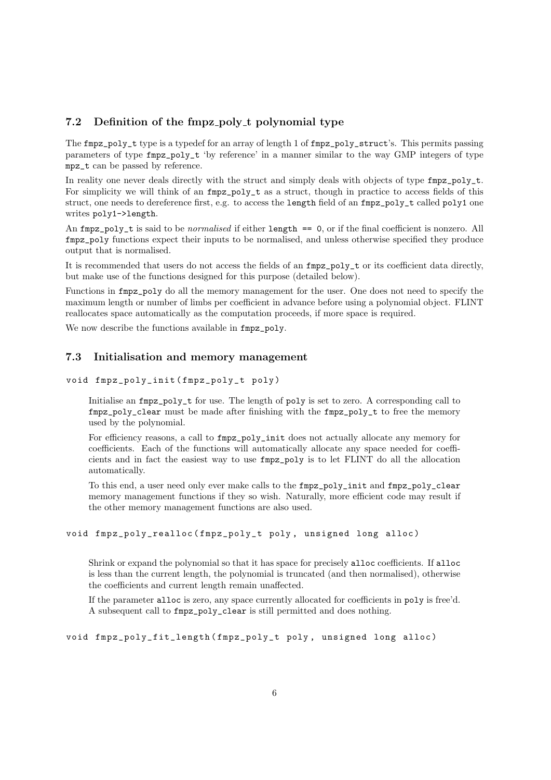#### <span id="page-5-0"></span>7.2 Definition of the fmpz\_poly\_t polynomial type

The fmpz\_poly\_t type is a typedef for an array of length 1 of fmpz\_poly\_struct's. This permits passing parameters of type fmpz\_poly\_t 'by reference' in a manner similar to the way GMP integers of type mpz\_t can be passed by reference.

In reality one never deals directly with the struct and simply deals with objects of type  $fmpz\_poly_t$ . For simplicity we will think of an  $fmpz_poly_t$  as a struct, though in practice to access fields of this struct, one needs to dereference first, e.g. to access the length field of an  $fmpz_poly_t$  called poly1 one writes poly1->length.

An fmpz\_poly\_t is said to be normalised if either length == 0, or if the final coefficient is nonzero. All fmpz\_poly functions expect their inputs to be normalised, and unless otherwise specified they produce output that is normalised.

It is recommended that users do not access the fields of an fmpz\_poly\_t or its coefficient data directly, but make use of the functions designed for this purpose (detailed below).

Functions in fmpz\_poly do all the memory management for the user. One does not need to specify the maximum length or number of limbs per coefficient in advance before using a polynomial object. FLINT reallocates space automatically as the computation proceeds, if more space is required.

We now describe the functions available in  $fmpz_poly$ .

#### <span id="page-5-1"></span>7.3 Initialisation and memory management

void fmpz\_poly\_init ( fmpz\_poly\_t poly )

Initialise an fmpz\_poly\_t for use. The length of poly is set to zero. A corresponding call to fmpz\_poly\_clear must be made after finishing with the fmpz\_poly\_t to free the memory used by the polynomial.

For efficiency reasons, a call to  $fmpz-poly\_init$  does not actually allocate any memory for coefficients. Each of the functions will automatically allocate any space needed for coefficients and in fact the easiest way to use fmpz\_poly is to let FLINT do all the allocation automatically.

To this end, a user need only ever make calls to the fmpz\_poly\_init and fmpz\_poly\_clear memory management functions if they so wish. Naturally, more efficient code may result if the other memory management functions are also used.

#### void fmpz\_poly\_realloc (fmpz\_poly\_t poly, unsigned long alloc)

Shrink or expand the polynomial so that it has space for precisely alloc coefficients. If alloc is less than the current length, the polynomial is truncated (and then normalised), otherwise the coefficients and current length remain unaffected.

If the parameter alloc is zero, any space currently allocated for coefficients in poly is free'd. A subsequent call to fmpz\_poly\_clear is still permitted and does nothing.

```
void fmpz_poly_fit_length ( fmpz_poly_t poly , unsigned long alloc )
```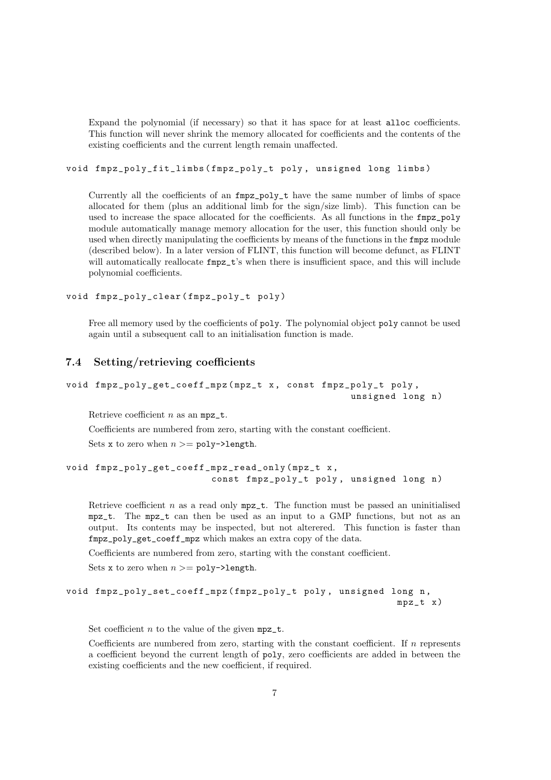Expand the polynomial (if necessary) so that it has space for at least alloc coefficients. This function will never shrink the memory allocated for coefficients and the contents of the existing coefficients and the current length remain unaffected.

void fmpz\_poly\_fit\_limbs ( fmpz\_poly\_t poly , unsigned long limbs )

Currently all the coefficients of an fmpz\_poly\_t have the same number of limbs of space allocated for them (plus an additional limb for the sign/size limb). This function can be used to increase the space allocated for the coefficients. As all functions in the fmpz\_poly module automatically manage memory allocation for the user, this function should only be used when directly manipulating the coefficients by means of the functions in the fmpz module (described below). In a later version of FLINT, this function will become defunct, as FLINT will automatically reallocate  $fmpz_t$ 's when there is insufficient space, and this will include polynomial coefficients.

void fmpz\_poly\_clear ( fmpz\_poly\_t poly )

Free all memory used by the coefficients of poly. The polynomial object poly cannot be used again until a subsequent call to an initialisation function is made.

#### <span id="page-6-0"></span>7.4 Setting/retrieving coefficients

```
void fmpz_poly_get_coeff_mpz (mpz_t x, const fmpz_poly_t poly,
                                                  unsigned long n)
```
Retrieve coefficient  $n$  as an  $mpz_t$ .

Coefficients are numbered from zero, starting with the constant coefficient. Sets x to zero when  $n >= poly$ ->length.

```
void fmpz_poly_get_coeff_mpz_read_only ( mpz_t x ,
                          const fmpz_poly_t poly, unsigned long n)
```
Retrieve coefficient  $n$  as a read only  $mpz_t$ . The function must be passed an uninitialised mpz\_t. The mpz\_t can then be used as an input to a GMP functions, but not as an output. Its contents may be inspected, but not alterered. This function is faster than fmpz\_poly\_get\_coeff\_mpz which makes an extra copy of the data.

Coefficients are numbered from zero, starting with the constant coefficient.

Sets x to zero when  $n >= poly$ ->length.

```
void fmpz_poly_set_coeff_mpz (fmpz_poly_t poly, unsigned long n,
                                                          mpz_t x)
```
Set coefficient *n* to the value of the given  $mpz_t$ .

Coefficients are numbered from zero, starting with the constant coefficient. If  $n$  represents a coefficient beyond the current length of poly, zero coefficients are added in between the existing coefficients and the new coefficient, if required.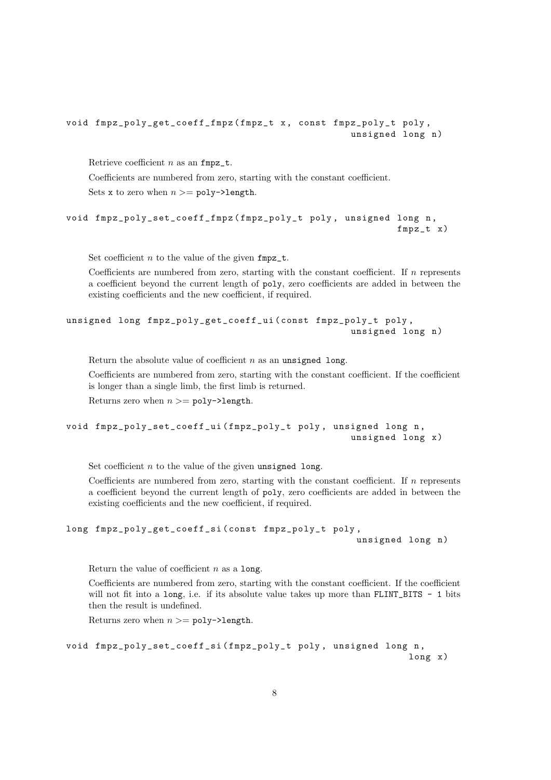```
void fmpz_poly_get_coeff_fmpz ( fmpz_t x , const fmpz_poly_t poly ,
                                                    unsigned long n)
```
Retrieve coefficient  $n$  as an fmpz\_t.

Coefficients are numbered from zero, starting with the constant coefficient.

Sets x to zero when  $n >= poly$ ->length.

```
void fmpz_poly_set_coeff_fmpz ( fmpz_poly_t poly , unsigned long n ,
                                                              fmpz_t x )
```
Set coefficient  $n$  to the value of the given  $fmpz_t$ .

Coefficients are numbered from zero, starting with the constant coefficient. If n represents a coefficient beyond the current length of poly, zero coefficients are added in between the existing coefficients and the new coefficient, if required.

```
unsigned long fmpz_poly_get_coeff_ui ( const fmpz_poly_t poly ,
                                                    unsigned long n)
```
Return the absolute value of coefficient  $n$  as an unsigned long.

Coefficients are numbered from zero, starting with the constant coefficient. If the coefficient is longer than a single limb, the first limb is returned.

Returns zero when  $n >= poly$ ->length.

```
void fmpz_poly_set_coeff_ui ( fmpz_poly_t poly , unsigned long n ,
                                                    unsigned long x)
```
Set coefficient  $n$  to the value of the given unsigned long.

Coefficients are numbered from zero, starting with the constant coefficient. If  $n$  represents a coefficient beyond the current length of poly, zero coefficients are added in between the existing coefficients and the new coefficient, if required.

```
long fmpz_poly_get_coeff_si ( const fmpz_poly_t poly ,
                                                     unsigned long n)
```
Return the value of coefficient  $n$  as a long.

Coefficients are numbered from zero, starting with the constant coefficient. If the coefficient will not fit into a long, i.e. if its absolute value takes up more than FLINT\_BITS - 1 bits then the result is undefined.

Returns zero when  $n >= poly$ ->length.

```
void fmpz_poly_set_coeff_si ( fmpz_poly_t poly , unsigned long n ,
                                                                 long x )
```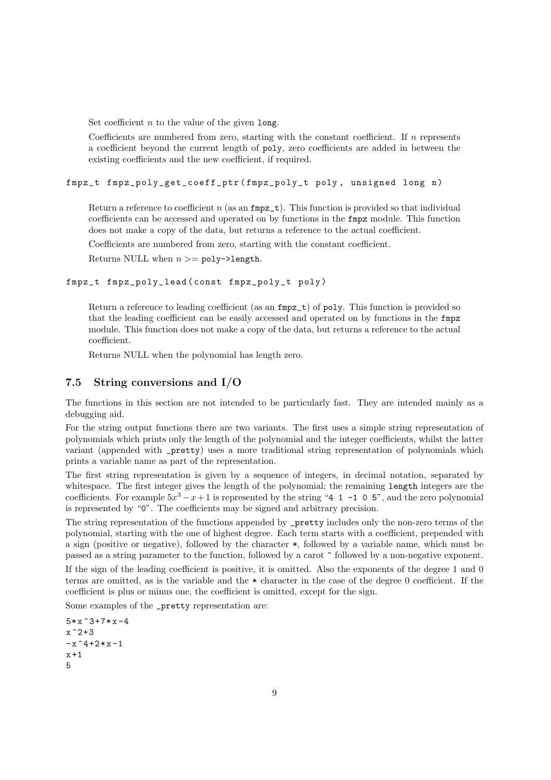Set coefficient  $n$  to the value of the given long.

Coefficients are numbered from zero, starting with the constant coefficient. If  $n$  represents a coefficient beyond the current length of poly, zero coefficients are added in between the existing coefficients and the new coefficient, if required.

fmpz\_t fmpz\_poly\_get\_coeff\_ptr ( fmpz\_poly\_t poly , unsigned long n )

Return a reference to coefficient  $n$  (as an  $fmpz_t$ ). This function is provided so that individual coefficients can be accessed and operated on by functions in the fmpz module. This function does not make a copy of the data, but returns a reference to the actual coefficient.

Coefficients are numbered from zero, starting with the constant coefficient.

Returns NULL when  $n >= poly$ ->length.

```
fmpz_t fmpz_poly_lead ( const fmpz_poly_t poly )
```
Return a reference to leading coefficient (as an  $fmpz_t$ ) of poly. This function is provided so that the leading coefficient can be easily accessed and operated on by functions in the fmpz module. This function does not make a copy of the data, but returns a reference to the actual coefficient.

Returns NULL when the polynomial has length zero.

#### <span id="page-8-0"></span>7.5 String conversions and I/O

The functions in this section are not intended to be particularly fast. They are intended mainly as a debugging aid.

For the string output functions there are two variants. The first uses a simple string representation of polynomials which prints only the length of the polynomial and the integer coefficients, whilst the latter variant (appended with \_pretty) uses a more traditional string representation of polynomials which prints a variable name as part of the representation.

The first string representation is given by a sequence of integers, in decimal notation, separated by whitespace. The first integer gives the length of the polynomial; the remaining length integers are the coefficients. For example  $5x^3 - x + 1$  is represented by the string "4 1 -1 0 5", and the zero polynomial is represented by "0". The coefficients may be signed and arbitrary precision.

The string representation of the functions appended by \_pretty includes only the non-zero terms of the polynomial, starting with the one of highest degree. Each term starts with a coefficient, prepended with a sign (positive or negative), followed by the character \*, followed by a variable name, which must be passed as a string parameter to the function, followed by a carot ^ followed by a non-negative exponent.

If the sign of the leading coefficient is positive, it is omitted. Also the exponents of the degree 1 and 0 terms are omitted, as is the variable and the \* character in the case of the degree 0 coefficient. If the coefficient is plus or minus one, the coefficient is omitted, except for the sign.

Some examples of the \_pretty representation are:

```
5*x^3+7*x-4x^2+3-x ^4+2* x -1
x + 15
```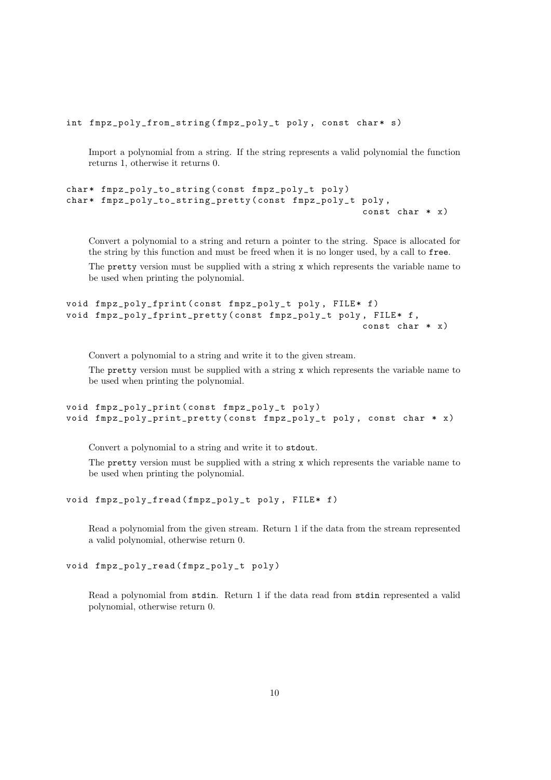int fmpz\_poly\_from\_string (fmpz\_poly\_t poly, const char\* s)

Import a polynomial from a string. If the string represents a valid polynomial the function returns 1, otherwise it returns 0.

```
char* fmpz_poly_to_string (const fmpz_poly_t poly)
char* fmpz_poly_to_string_pretty (const fmpz_poly_t poly,
                                                    const char * x)
```
Convert a polynomial to a string and return a pointer to the string. Space is allocated for the string by this function and must be freed when it is no longer used, by a call to free.

The pretty version must be supplied with a string x which represents the variable name to be used when printing the polynomial.

```
void fmpz_poly_fprint ( const fmpz_poly_t poly , FILE * f )
void fmpz_poly_fprint_pretty (const fmpz_poly_t poly, FILE* f,
                                                      const char * x)
```
Convert a polynomial to a string and write it to the given stream.

The pretty version must be supplied with a string x which represents the variable name to be used when printing the polynomial.

```
void fmpz_poly_print ( const fmpz_poly_t poly )
void fmpz_poly_print_pretty ( const fmpz_poly_t poly , const char * x )
```
Convert a polynomial to a string and write it to stdout.

The pretty version must be supplied with a string x which represents the variable name to be used when printing the polynomial.

```
void fmpz_poly_fread (fmpz_poly_t poly, FILE* f)
```
Read a polynomial from the given stream. Return 1 if the data from the stream represented a valid polynomial, otherwise return 0.

```
void fmpz_poly_read ( fmpz_poly_t poly )
```
Read a polynomial from stdin. Return 1 if the data read from stdin represented a valid polynomial, otherwise return 0.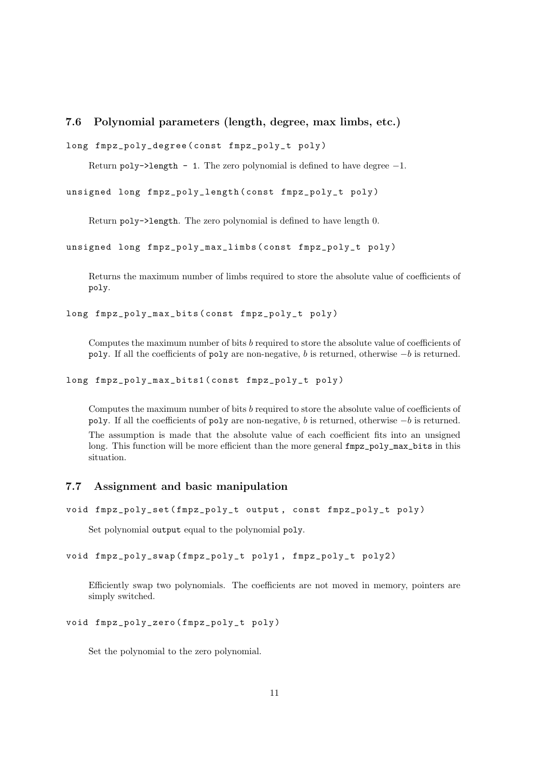#### <span id="page-10-0"></span>7.6 Polynomial parameters (length, degree, max limbs, etc.)

```
long fmpz_poly_degree ( const fmpz_poly_t poly )
```
Return poly->length - 1. The zero polynomial is defined to have degree  $-1$ .

unsigned long fmpz\_poly\_length ( const fmpz\_poly\_t poly )

Return poly->length. The zero polynomial is defined to have length 0.

unsigned long fmpz\_poly\_max\_limbs ( const fmpz\_poly\_t poly )

Returns the maximum number of limbs required to store the absolute value of coefficients of poly.

long fmpz\_poly\_max\_bits ( const fmpz\_poly\_t poly )

Computes the maximum number of bits b required to store the absolute value of coefficients of poly. If all the coefficients of poly are non-negative, b is returned, otherwise −b is returned.

long fmpz\_poly\_max\_bits1 ( const fmpz\_poly\_t poly )

Computes the maximum number of bits b required to store the absolute value of coefficients of poly. If all the coefficients of poly are non-negative, b is returned, otherwise  $-b$  is returned. The assumption is made that the absolute value of each coefficient fits into an unsigned long. This function will be more efficient than the more general  $fmpz-poly_max_bits$  in this situation.

#### <span id="page-10-1"></span>7.7 Assignment and basic manipulation

```
void fmpz_poly_set ( fmpz_poly_t output , const fmpz_poly_t poly )
```
Set polynomial output equal to the polynomial poly.

```
void fmpz_poly_swap ( fmpz_poly_t poly1 , fmpz_poly_t poly2 )
```
Efficiently swap two polynomials. The coefficients are not moved in memory, pointers are simply switched.

void fmpz\_poly\_zero ( fmpz\_poly\_t poly )

Set the polynomial to the zero polynomial.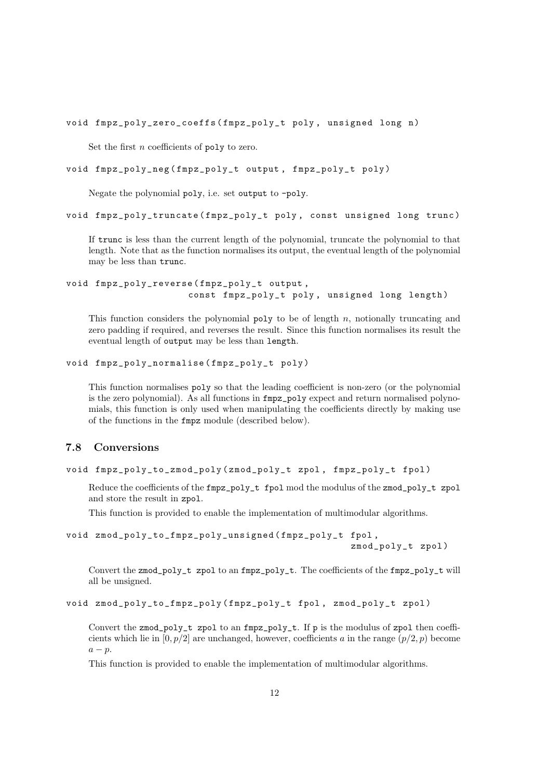void fmpz\_poly\_zero\_coeffs ( fmpz\_poly\_t poly , unsigned long n )

Set the first  $n$  coefficients of poly to zero.

```
void fmpz_poly_neg ( fmpz_poly_t output , fmpz_poly_t poly )
```
Negate the polynomial poly, i.e. set output to -poly.

void fmpz\_poly\_truncate ( fmpz\_poly\_t poly , const unsigned long trunc )

If trunc is less than the current length of the polynomial, truncate the polynomial to that length. Note that as the function normalises its output, the eventual length of the polynomial may be less than trunc.

void fmpz\_poly\_reverse ( fmpz\_poly\_t output , const fmpz\_poly\_t poly , unsigned long length )

This function considers the polynomial poly to be of length  $n$ , notionally truncating and zero padding if required, and reverses the result. Since this function normalises its result the eventual length of output may be less than length.

```
void fmpz_poly_normalise ( fmpz_poly_t poly )
```
This function normalises poly so that the leading coefficient is non-zero (or the polynomial is the zero polynomial). As all functions in fmpz\_poly expect and return normalised polynomials, this function is only used when manipulating the coefficients directly by making use of the functions in the fmpz module (described below).

#### <span id="page-11-0"></span>7.8 Conversions

```
void fmpz_poly_to_zmod_poly ( zmod_poly_t zpol , fmpz_poly_t fpol )
```
Reduce the coefficients of the fmpz\_poly\_t fpol mod the modulus of the zmod\_poly\_t zpol and store the result in zpol.

This function is provided to enable the implementation of multimodular algorithms.

```
void zmod_poly_to_fmpz_poly_unsigned ( fmpz_poly_t fpol ,
                                                     zmod_poly_t zpol )
```
Convert the zmod\_poly\_t zpol to an fmpz\_poly\_t. The coefficients of the fmpz\_poly\_t will all be unsigned.

void zmod\_poly\_to\_fmpz\_poly ( fmpz\_poly\_t fpol , zmod\_poly\_t zpol )

Convert the zmod\_poly\_t zpol to an fmpz\_poly\_t. If p is the modulus of zpol then coefficients which lie in  $[0, p/2]$  are unchanged, however, coefficients a in the range  $(p/2, p)$  become  $a - p$ .

This function is provided to enable the implementation of multimodular algorithms.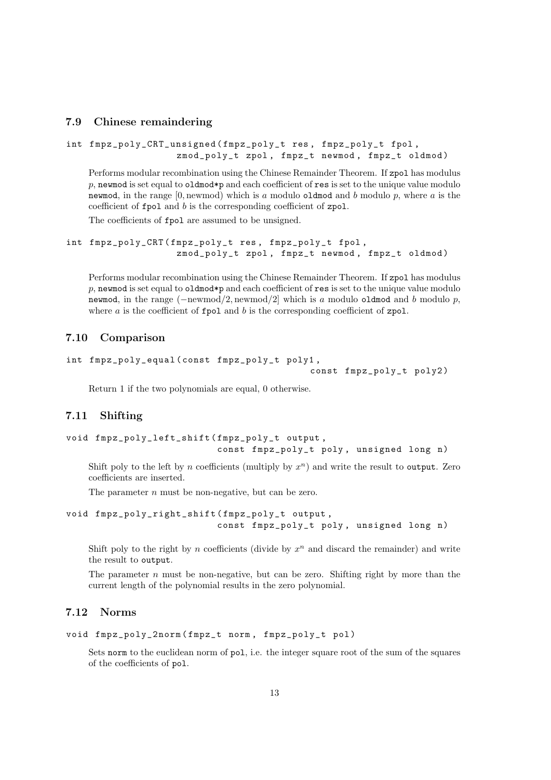#### <span id="page-12-0"></span>7.9 Chinese remaindering

```
int fmpz_poly_CRT_unsigned ( fmpz_poly_t res , fmpz_poly_t fpol ,
                    zmod_poly_t zpol, fmpz_t newmod, fmpz_t oldmod)
```
Performs modular recombination using the Chinese Remainder Theorem. If zpol has modulus p, newmod is set equal to oldmod\*p and each coefficient of res is set to the unique value modulo newmod, in the range  $[0,$  newmod) which is a modulo oldmod and b modulo p, where a is the coefficient of fpol and b is the corresponding coefficient of zpol.

The coefficients of fpol are assumed to be unsigned.

```
int fmpz_poly_CRT ( fmpz_poly_t res , fmpz_poly_t fpol ,
                    zmod_poly_t zpol, fmpz_t newmod, fmpz_t oldmod)
```
Performs modular recombination using the Chinese Remainder Theorem. If zpol has modulus  $p$ , newmod is set equal to oldmod\*p and each coefficient of res is set to the unique value modulo newmod, in the range  $(-\text{newmod}/2, \text{newmod}/2]$  which is a modulo oldmod and b modulo p, where  $a$  is the coefficient of  $\texttt{fpol}$  and  $b$  is the corresponding coefficient of  $\texttt{zpol}$ .

#### <span id="page-12-1"></span>7.10 Comparison

```
int fmpz_poly_equal ( const fmpz_poly_t poly1 ,
```
const fmpz\_poly\_t poly2 )

Return 1 if the two polynomials are equal, 0 otherwise.

#### <span id="page-12-2"></span>7.11 Shifting

```
void fmpz_poly_left_shift ( fmpz_poly_t output ,
                           const fmpz_poly_t poly, unsigned long n)
```
Shift poly to the left by n coefficients (multiply by  $x^n$ ) and write the result to output. Zero coefficients are inserted.

The parameter *n* must be non-negative, but can be zero.

```
void fmpz_poly_right_shift ( fmpz_poly_t output ,
                           const fmpz_poly_t poly, unsigned long n)
```
Shift poly to the right by n coefficients (divide by  $x^n$  and discard the remainder) and write the result to output.

The parameter n must be non-negative, but can be zero. Shifting right by more than the current length of the polynomial results in the zero polynomial.

#### <span id="page-12-3"></span>7.12 Norms

```
void fmpz_poly_2norm ( fmpz_t norm , fmpz_poly_t pol )
```
Sets norm to the euclidean norm of pol, i.e. the integer square root of the sum of the squares of the coefficients of pol.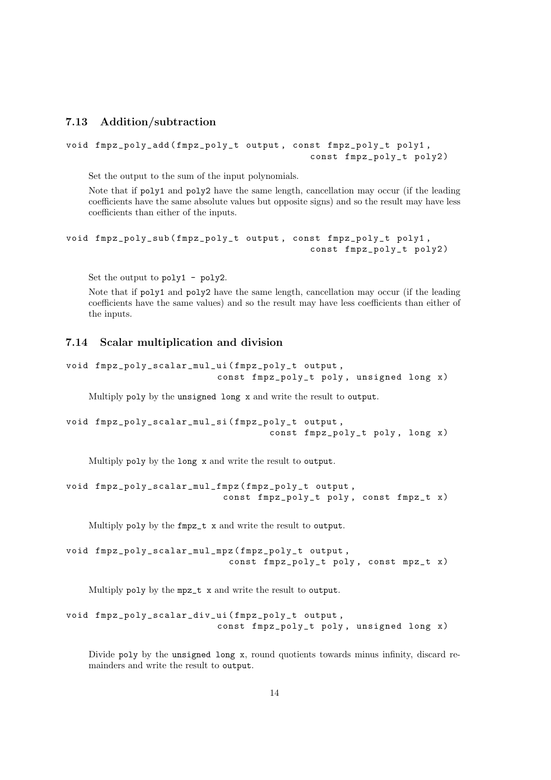### <span id="page-13-0"></span>7.13 Addition/subtraction

```
void fmpz_poly_add ( fmpz_poly_t output , const fmpz_poly_t poly1 ,
                                             const fmpz_poly_t poly2 )
```
Set the output to the sum of the input polynomials.

Note that if poly1 and poly2 have the same length, cancellation may occur (if the leading coefficients have the same absolute values but opposite signs) and so the result may have less coefficients than either of the inputs.

```
void fmpz_poly_sub ( fmpz_poly_t output , const fmpz_poly_t poly1 ,
                                             const fmpz_poly_t poly2 )
```
Set the output to poly1 - poly2.

Note that if poly1 and poly2 have the same length, cancellation may occur (if the leading coefficients have the same values) and so the result may have less coefficients than either of the inputs.

#### <span id="page-13-1"></span>7.14 Scalar multiplication and division

```
void fmpz_poly_scalar_mul_ui ( fmpz_poly_t output ,
                            const fmpz_poly_t poly , unsigned long x )
```
Multiply poly by the unsigned long x and write the result to output.

```
void fmpz_poly_scalar_mul_si ( fmpz_poly_t output ,
                                      const fmpz_poly_t poly , long x )
```
Multiply poly by the long x and write the result to output.

```
void fmpz_poly_scalar_mul_fmpz ( fmpz_poly_t output ,
                            const fmpz_poly_t poly , const fmpz_t x )
```
Multiply poly by the fmpz\_t x and write the result to output.

```
void fmpz_poly_scalar_mul_mpz ( fmpz_poly_t output ,
                              const fmpz_poly_t poly , const mpz_t x )
```
Multiply poly by the mpz\_t x and write the result to output.

```
void fmpz_poly_scalar_div_ui ( fmpz_poly_t output ,
                            const fmpz_poly_t poly , unsigned long x )
```
Divide poly by the unsigned long x, round quotients towards minus infinity, discard remainders and write the result to output.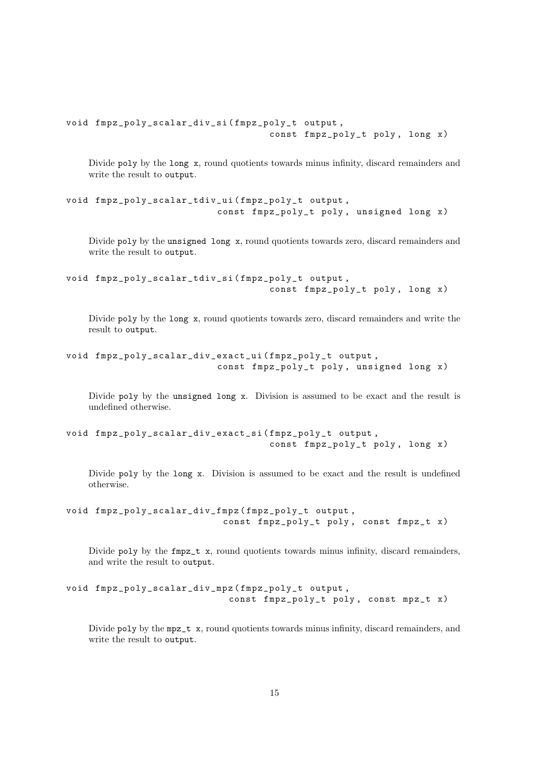```
void fmpz_poly_scalar_div_si ( fmpz_poly_t output ,
                                     const fmpz_poly_t poly , long x )
```
Divide poly by the long x, round quotients towards minus infinity, discard remainders and write the result to output.

```
void fmpz_poly_scalar_tdiv_ui ( fmpz_poly_t output ,
                           const fmpz_poly_t poly , unsigned long x )
```
Divide poly by the unsigned long x, round quotients towards zero, discard remainders and write the result to output.

```
void fmpz_poly_scalar_tdiv_si ( fmpz_poly_t output ,
                                      const fmpz_poly_t poly , long x )
```
Divide poly by the long x, round quotients towards zero, discard remainders and write the result to output.

```
void fmpz_poly_scalar_div_exact_ui ( fmpz_poly_t output ,
                           const fmpz_poly_t poly , unsigned long x )
```
Divide poly by the unsigned long x. Division is assumed to be exact and the result is undefined otherwise.

```
void fmpz_poly_scalar_div_exact_si ( fmpz_poly_t output ,
                                     const fmpz_poly_t poly , long x )
```
Divide poly by the long x. Division is assumed to be exact and the result is undefined otherwise.

```
void fmpz_poly_scalar_div_fmpz ( fmpz_poly_t output ,
                            const fmpz_poly_t poly , const fmpz_t x )
```
Divide poly by the fmpz\_t x, round quotients towards minus infinity, discard remainders, and write the result to output.

```
void fmpz_poly_scalar_div_mpz ( fmpz_poly_t output ,
                              const fmpz_poly_t poly , const mpz_t x )
```
Divide poly by the mpz\_t x, round quotients towards minus infinity, discard remainders, and write the result to output.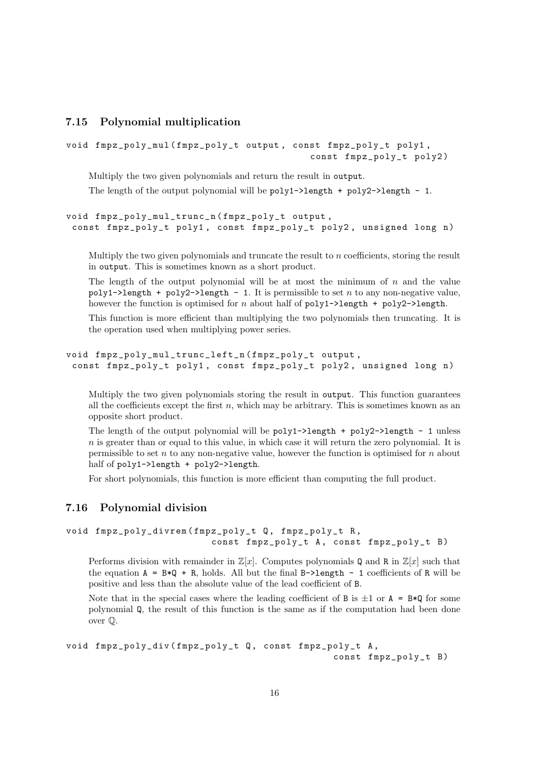#### <span id="page-15-0"></span>7.15 Polynomial multiplication

```
void fmpz_poly_mul ( fmpz_poly_t output , const fmpz_poly_t poly1 ,
                                             const fmpz_poly_t poly2 )
```
Multiply the two given polynomials and return the result in output.

The length of the output polynomial will be  $poly1-\lambda length + poly2-\lambda length - 1$ .

```
void fmpz_poly_mul_trunc_n ( fmpz_poly_t output ,
 const fmpz_poly_t poly1, const fmpz_poly_t poly2, unsigned long n)
```
Multiply the two given polynomials and truncate the result to  $n$  coefficients, storing the result in output. This is sometimes known as a short product.

The length of the output polynomial will be at most the minimum of  $n$  and the value poly1->length + poly2->length - 1. It is permissible to set n to any non-negative value, however the function is optimised for n about half of  $poly1-\lambda length + poly2-\lambda length$ .

This function is more efficient than multiplying the two polynomials then truncating. It is the operation used when multiplying power series.

```
void fmpz_poly_mul_trunc_left_n ( fmpz_poly_t output ,
 const fmpz_poly_t poly1, const fmpz_poly_t poly2, unsigned long n)
```
Multiply the two given polynomials storing the result in output. This function guarantees all the coefficients except the first  $n$ , which may be arbitrary. This is sometimes known as an opposite short product.

The length of the output polynomial will be  $poly1$ ->length +  $poly2$ ->length - 1 unless  $n$  is greater than or equal to this value, in which case it will return the zero polynomial. It is permissible to set  $n$  to any non-negative value, however the function is optimised for  $n$  about half of poly1->length + poly2->length.

For short polynomials, this function is more efficient than computing the full product.

### <span id="page-15-1"></span>7.16 Polynomial division

```
void fmpz_poly_divrem ( fmpz_poly_t Q , fmpz_poly_t R ,
                          const fmpz_poly_t A, const fmpz_poly_t B)
```
Performs division with remainder in  $\mathbb{Z}[x]$ . Computes polynomials Q and R in  $\mathbb{Z}[x]$  such that the equation  $A = B*Q + R$ , holds. All but the final B->length - 1 coefficients of R will be positive and less than the absolute value of the lead coefficient of B.

Note that in the special cases where the leading coefficient of B is  $\pm 1$  or A = B\*Q for some polynomial Q, the result of this function is the same as if the computation had been done over Q.

```
void fmpz_poly_div ( fmpz_poly_t Q , const fmpz_poly_t A ,
                                                 const fmpz_poly_t B)
```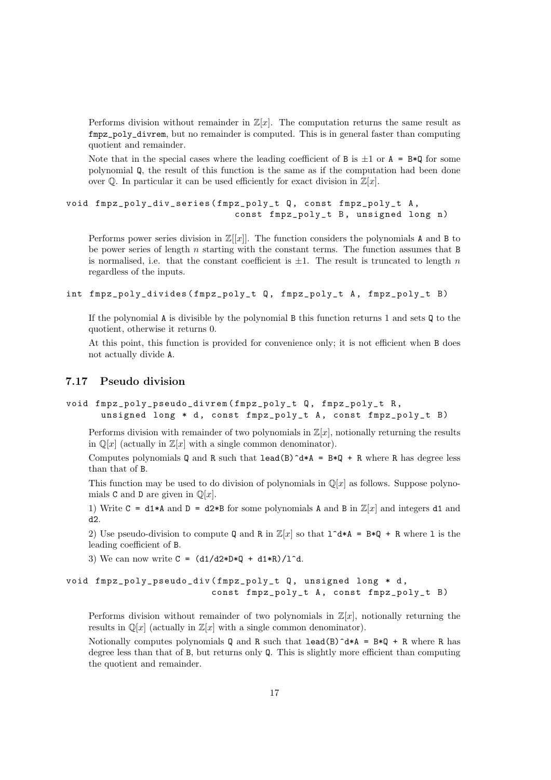Performs division without remainder in  $\mathbb{Z}[x]$ . The computation returns the same result as fmpz\_poly\_divrem, but no remainder is computed. This is in general faster than computing quotient and remainder.

Note that in the special cases where the leading coefficient of B is  $\pm 1$  or  $A = B*Q$  for some polynomial Q, the result of this function is the same as if the computation had been done over  $\mathbb Q$ . In particular it can be used efficiently for exact division in  $\mathbb Z[x]$ .

```
void fmpz_poly_div_series ( fmpz_poly_t Q , const fmpz_poly_t A ,
                              const fmpz_poly_t B, unsigned long n)
```
Performs power series division in  $\mathbb{Z}[[x]]$ . The function considers the polynomials A and B to be power series of length  $n$  starting with the constant terms. The function assumes that B is normalised, i.e. that the constant coefficient is  $\pm 1$ . The result is truncated to length n regardless of the inputs.

```
int fmpz_poly_divides ( fmpz_poly_t Q , fmpz_poly_t A , fmpz_poly_t B )
```
If the polynomial  $\bf{A}$  is divisible by the polynomial  $\bf{B}$  this function returns 1 and sets  $\bf{Q}$  to the quotient, otherwise it returns 0.

At this point, this function is provided for convenience only; it is not efficient when B does not actually divide A.

#### <span id="page-16-0"></span>7.17 Pseudo division

```
void fmpz_poly_pseudo_divrem ( fmpz_poly_t Q , fmpz_poly_t R ,
      unsigned long * d, const fmpz_poly_t A, const fmpz_poly_t B)
```
Performs division with remainder of two polynomials in  $\mathbb{Z}[x]$ , notionally returning the results in  $\mathbb{Q}[x]$  (actually in  $\mathbb{Z}[x]$  with a single common denominator).

Computes polynomials Q and R such that  $lead(B)^d*A = B*Q + R$  where R has degree less than that of B.

This function may be used to do division of polynomials in  $\mathbb{Q}[x]$  as follows. Suppose polynomials C and D are given in  $\mathbb{Q}[x]$ .

1) Write C = d1\*A and D = d2\*B for some polynomials A and B in  $\mathbb{Z}[x]$  and integers d1 and d2.

2) Use pseudo-division to compute Q and R in  $\mathbb{Z}[x]$  so that  $\mathbb{1}^d * A = B*Q + R$  where l is the leading coefficient of B.

3) We can now write  $C = (d1/d2*D*Q + d1*R)/l^d$ .

```
void fmpz_poly_pseudo_div ( fmpz_poly_t Q , unsigned long * d ,
                          const fmpz_poly_t A, const fmpz_poly_t B)
```
Performs division without remainder of two polynomials in  $\mathbb{Z}[x]$ , notionally returning the results in  $\mathbb{Q}[x]$  (actually in  $\mathbb{Z}[x]$  with a single common denominator).

Notionally computes polynomials Q and R such that  $lead(B)^d*A = B*Q + R$  where R has degree less than that of B, but returns only Q. This is slightly more efficient than computing the quotient and remainder.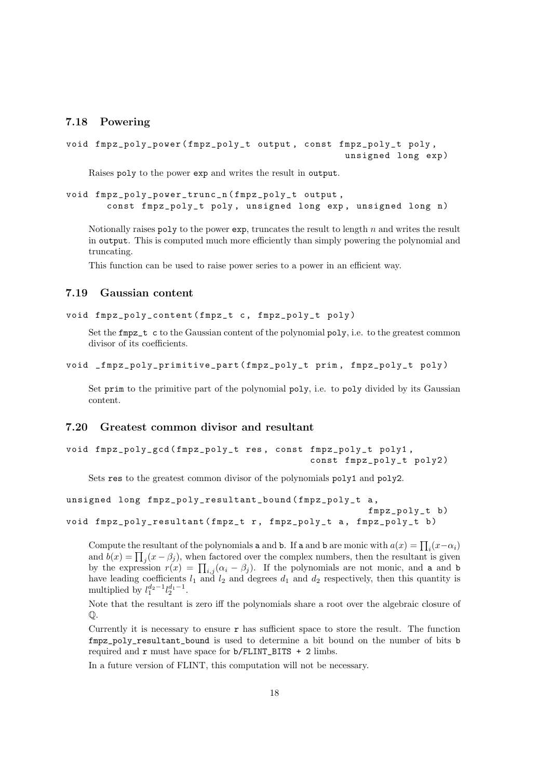#### <span id="page-17-0"></span>7.18 Powering

```
void fmpz_poly_power ( fmpz_poly_t output , const fmpz_poly_t poly ,
                                                    unsigned long exp )
```
Raises poly to the power exp and writes the result in output.

```
void fmpz_poly_power_trunc_n ( fmpz_poly_t output ,
       const fmpz_poly_t poly, unsigned long exp, unsigned long n)
```
Notionally raises poly to the power  $exp$ , truncates the result to length  $n$  and writes the result in output. This is computed much more efficiently than simply powering the polynomial and truncating.

This function can be used to raise power series to a power in an efficient way.

#### <span id="page-17-1"></span>7.19 Gaussian content

```
void fmpz_poly_content ( fmpz_t c , fmpz_poly_t poly )
```
Set the  $fmpz_t$  c to the Gaussian content of the polynomial poly, i.e. to the greatest common divisor of its coefficients.

```
void _fmpz_poly_primitive_part ( fmpz_poly_t prim , fmpz_poly_t poly )
```
Set prim to the primitive part of the polynomial poly, i.e. to poly divided by its Gaussian content.

#### <span id="page-17-2"></span>7.20 Greatest common divisor and resultant

```
void fmpz_poly_gcd ( fmpz_poly_t res , const fmpz_poly_t poly1 ,
                                             const fmpz_poly_t poly2 )
```
Sets res to the greatest common divisor of the polynomials poly1 and poly2.

```
unsigned long fmpz_poly_resultant_bound ( fmpz_poly_t a ,
                                                       fmpz_poly_t b )
void fmpz_poly_resultant (fmpz_t r, fmpz_poly_t a, fmpz_poly_t b)
```
Compute the resultant of the polynomials **a** and **b**. If **a** and **b** are monic with  $a(x) = \prod_i (x - \alpha_i)$ and  $b(x) = \prod_j (x - \beta_j)$ , when factored over the complex numbers, then the resultant is given by the expression  $r(x) = \prod_{i,j} (\alpha_i - \beta_j)$ . If the polynomials are not monic, and a and b have leading coefficients  $l_1$  and  $l_2$  and degrees  $d_1$  and  $d_2$  respectively, then this quantity is multiplied by  $l_1^{d_2-1} l_2^{d_1-1}$ .

Note that the resultant is zero iff the polynomials share a root over the algebraic closure of  $\mathbb{O}.$ 

Currently it is necessary to ensure  $\bf{r}$  has sufficient space to store the result. The function fmpz\_poly\_resultant\_bound is used to determine a bit bound on the number of bits b required and  $r$  must have space for  $b/FLINT_BITS + 2$  limbs.

In a future version of FLINT, this computation will not be necessary.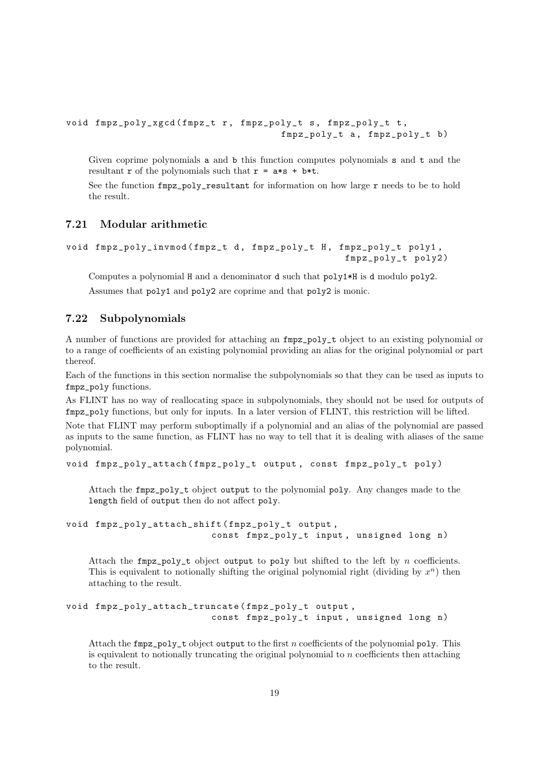```
void fmpz_poly_xgcd ( fmpz_t r , fmpz_poly_t s , fmpz_poly_t t ,
                                       fmpz_poly_t a, fmpz_poly_t b)
```
Given coprime polynomials a and b this function computes polynomials s and t and the resultant r of the polynomials such that  $r = a*s + b*t$ .

See the function  $fmpz_poly_resultant$  for information on how large r needs to be to hold the result.

#### <span id="page-18-0"></span>7.21 Modular arithmetic

```
void fmpz_poly_invmod (fmpz_t d, fmpz_poly_t H, fmpz_poly_t poly1,
                                                  fmpz_poly_t poly2 )
```
Computes a polynomial H and a denominator d such that poly1\*H is d modulo poly2. Assumes that poly1 and poly2 are coprime and that poly2 is monic.

#### <span id="page-18-1"></span>7.22 Subpolynomials

A number of functions are provided for attaching an fmpz\_poly\_t object to an existing polynomial or to a range of coefficients of an existing polynomial providing an alias for the original polynomial or part thereof.

Each of the functions in this section normalise the subpolynomials so that they can be used as inputs to fmpz\_poly functions.

As FLINT has no way of reallocating space in subpolynomials, they should not be used for outputs of fmpz\_poly functions, but only for inputs. In a later version of FLINT, this restriction will be lifted.

Note that FLINT may perform suboptimally if a polynomial and an alias of the polynomial are passed as inputs to the same function, as FLINT has no way to tell that it is dealing with aliases of the same polynomial.

```
void fmpz_poly_attach ( fmpz_poly_t output , const fmpz_poly_t poly )
```
Attach the fmpz\_poly\_t object output to the polynomial poly. Any changes made to the length field of output then do not affect poly.

```
void fmpz_poly_attach_shift ( fmpz_poly_t output ,
                          const fmpz_poly_t input, unsigned long n)
```
Attach the  $fmpz-poly_t$  object output to poly but shifted to the left by n coefficients. This is equivalent to notionally shifting the original polynomial right (dividing by  $x^n$ ) then attaching to the result.

```
void fmpz_poly_attach_truncate ( fmpz_poly_t output ,
                          const fmpz_poly_t input, unsigned long n)
```
Attach the  $fmpz-poly_t$  object output to the first n coefficients of the polynomial poly. This is equivalent to notionally truncating the original polynomial to  $n$  coefficients then attaching to the result.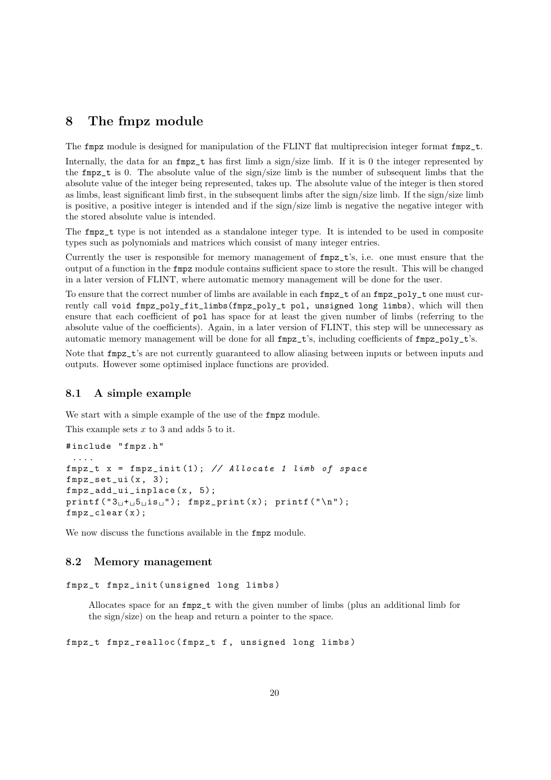### <span id="page-19-0"></span>8 The fmpz module

The fmpz module is designed for manipulation of the FLINT flat multiprecision integer format fmpz\_t.

Internally, the data for an  $fmpz_t$  has first limb a sign/size limb. If it is 0 the integer represented by the fmpz\_t is 0. The absolute value of the sign/size limb is the number of subsequent limbs that the absolute value of the integer being represented, takes up. The absolute value of the integer is then stored as limbs, least significant limb first, in the subsequent limbs after the sign/size limb. If the sign/size limb is positive, a positive integer is intended and if the sign/size limb is negative the negative integer with the stored absolute value is intended.

The fmpz\_t type is not intended as a standalone integer type. It is intended to be used in composite types such as polynomials and matrices which consist of many integer entries.

Currently the user is responsible for memory management of fmpz\_t's, i.e. one must ensure that the output of a function in the fmpz module contains sufficient space to store the result. This will be changed in a later version of FLINT, where automatic memory management will be done for the user.

To ensure that the correct number of limbs are available in each fmpz\_t of an fmpz\_poly\_t one must currently call void fmpz\_poly\_fit\_limbs(fmpz\_poly\_t pol, unsigned long limbs), which will then ensure that each coefficient of pol has space for at least the given number of limbs (referring to the absolute value of the coefficients). Again, in a later version of FLINT, this step will be unnecessary as automatic memory management will be done for all fmpz\_t's, including coefficients of fmpz\_poly\_t's.

Note that fmpz\_t's are not currently guaranteed to allow aliasing between inputs or between inputs and outputs. However some optimised inplace functions are provided.

#### <span id="page-19-1"></span>8.1 A simple example

We start with a simple example of the use of the  $fmpz$  module.

This example sets  $x$  to 3 and adds 5 to it.

```
# include " fmpz . h "
 ....
fmpz_t x = fmpz_init (1); // Allocate 1 limb of space
fmpz_set_ui (x , 3);
fmpz_add_ui_inplace (x , 5);
printf ("3<sub>u</sub>+<sub>u</sub>5<sub>u</sub> is<sub>u</sub>"); fmpz_print(x); printf ("n");
fmpz clear (x):
```
We now discuss the functions available in the fmpz module.

#### <span id="page-19-2"></span>8.2 Memory management

```
fmpz_t fmpz_init ( unsigned long limbs )
```
Allocates space for an fmpz\_t with the given number of limbs (plus an additional limb for the sign/size) on the heap and return a pointer to the space.

fmpz\_t fmpz\_realloc ( fmpz\_t f , unsigned long limbs )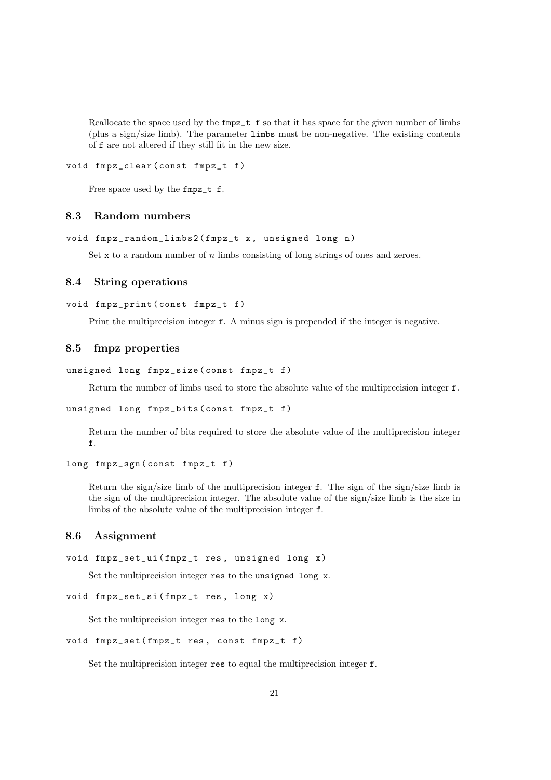Reallocate the space used by the fmpz\_t f so that it has space for the given number of limbs (plus a sign/size limb). The parameter limbs must be non-negative. The existing contents of f are not altered if they still fit in the new size.

#### void fmpz\_clear ( const fmpz\_t f )

Free space used by the fmpz\_t f.

#### <span id="page-20-0"></span>8.3 Random numbers

```
void fmpz_random_limbs2(fmpz_t x, unsigned long n)
```
Set x to a random number of  $n$  limbs consisting of long strings of ones and zeroes.

#### <span id="page-20-1"></span>8.4 String operations

```
void fmpz_print ( const fmpz_t f )
```
Print the multiprecision integer f. A minus sign is prepended if the integer is negative.

#### <span id="page-20-2"></span>8.5 fmpz properties

```
unsigned long fmpz_size ( const fmpz_t f )
```
Return the number of limbs used to store the absolute value of the multiprecision integer f.

```
unsigned long fmpz_bits ( const fmpz_t f )
```
Return the number of bits required to store the absolute value of the multiprecision integer f.

```
long fmpz_sgn ( const fmpz_t f )
```
Return the sign/size limb of the multiprecision integer f. The sign of the sign/size limb is the sign of the multiprecision integer. The absolute value of the sign/size limb is the size in limbs of the absolute value of the multiprecision integer f.

#### <span id="page-20-3"></span>8.6 Assignment

```
void fmpz_set_ui (fmpz_t res, unsigned long x)
```
Set the multiprecision integer res to the unsigned long x.

```
void fmpz_set_si (fmpz_t res, long x)
```
Set the multiprecision integer res to the long x.

```
void fmpz_set ( fmpz_t res , const fmpz_t f )
```
Set the multiprecision integer res to equal the multiprecision integer f.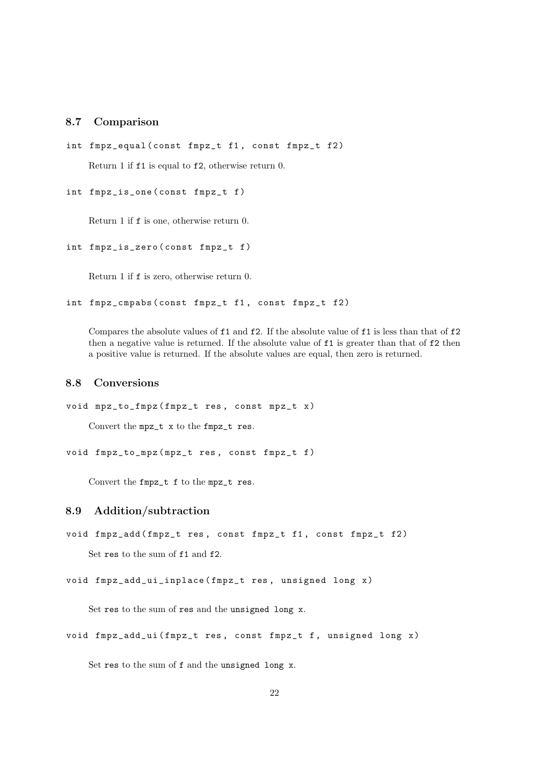#### <span id="page-21-0"></span>8.7 Comparison

```
int fmpz_equal ( const fmpz_t f1 , const fmpz_t f2 )
    Return 1 if f1 is equal to f2, otherwise return 0.
```

```
int fmpz_is_one ( const fmpz_t f )
```
Return 1 if f is one, otherwise return 0.

```
int fmpz_is_zero ( const fmpz_t f )
```
Return 1 if f is zero, otherwise return 0.

int fmpz\_cmpabs ( const fmpz\_t f1 , const fmpz\_t f2 )

Compares the absolute values of f1 and f2. If the absolute value of f1 is less than that of f2 then a negative value is returned. If the absolute value of f1 is greater than that of f2 then a positive value is returned. If the absolute values are equal, then zero is returned.

#### <span id="page-21-1"></span>8.8 Conversions

```
void mpz_to_fmpz ( fmpz_t res , const mpz_t x )
    Convert the mpz_t x to the fmpz_t res.
```
void fmpz\_to\_mpz ( mpz\_t res , const fmpz\_t f )

Convert the fmpz\_t f to the mpz\_t res.

#### <span id="page-21-2"></span>8.9 Addition/subtraction

void fmpz\_add (fmpz\_t res, const fmpz\_t f1, const fmpz\_t f2)

Set res to the sum of f1 and f2.

void fmpz\_add\_ui\_inplace ( fmpz\_t res , unsigned long x )

Set res to the sum of res and the unsigned long x.

void fmpz\_add\_ui (fmpz\_t res, const fmpz\_t f, unsigned long x)

Set res to the sum of f and the unsigned long x.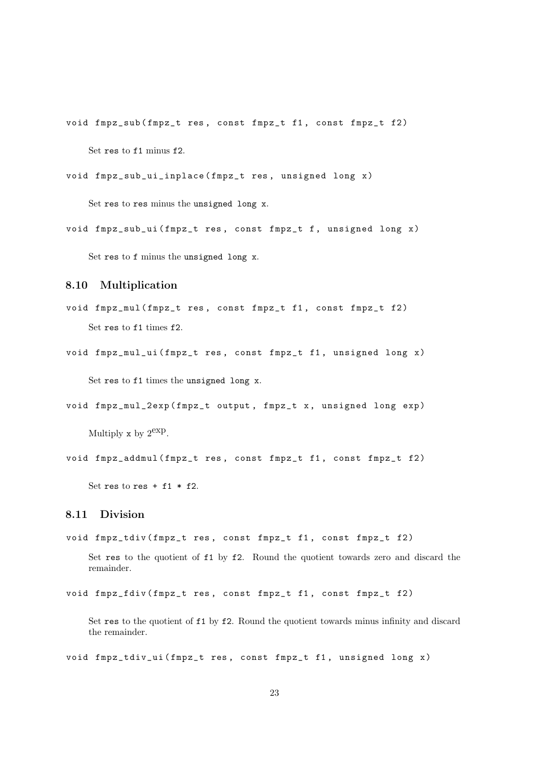void fmpz\_sub (fmpz\_t res, const fmpz\_t f1, const fmpz\_t f2) Set res to f1 minus f2.

```
void fmpz_sub_ui_inplace ( fmpz_t res , unsigned long x )
```
Set res to res minus the unsigned long x.

void fmpz\_sub\_ui (fmpz\_t res, const fmpz\_t f, unsigned long x)

Set res to f minus the unsigned long x.

#### <span id="page-22-0"></span>8.10 Multiplication

void fmpz\_mul ( fmpz\_t res , const fmpz\_t f1 , const fmpz\_t f2 ) Set res to f1 times f2.

```
void fmpz_mul_ui (fmpz_t res, const fmpz_t f1, unsigned long x)
```
Set res to f1 times the unsigned long x.

```
void fmpz_mul_2exp ( fmpz_t output , fmpz_t x , unsigned long exp )
```
Multiply x by  $2^{\text{exp}}$ .

```
void fmpz_addmul (fmpz_t res, const fmpz_t f1, const fmpz_t f2)
```
Set res to res  $+$  f1  $*$  f2.

### <span id="page-22-1"></span>8.11 Division

void fmpz\_tdiv ( fmpz\_t res , const fmpz\_t f1 , const fmpz\_t f2 )

Set res to the quotient of f1 by f2. Round the quotient towards zero and discard the remainder.

```
void fmpz_fdiv ( fmpz_t res , const fmpz_t f1 , const fmpz_t f2 )
```
Set res to the quotient of f1 by f2. Round the quotient towards minus infinity and discard the remainder.

void fmpz\_tdiv\_ui (fmpz\_t res, const fmpz\_t f1, unsigned long x)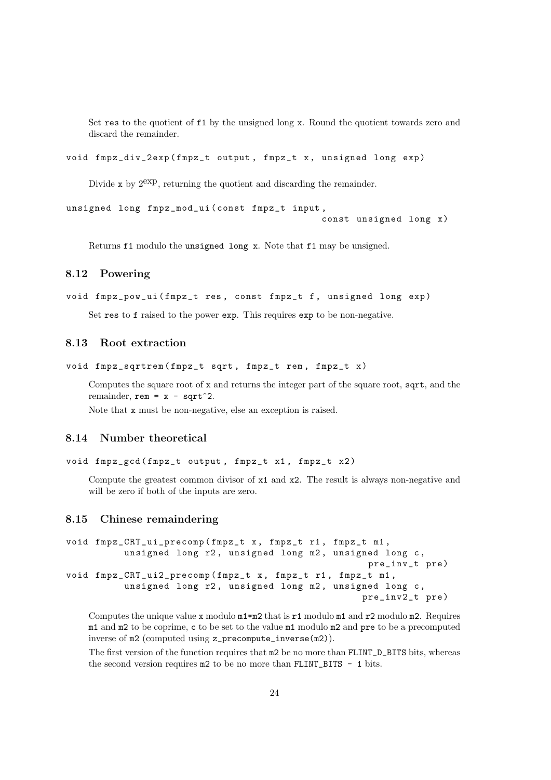Set res to the quotient of f1 by the unsigned long x. Round the quotient towards zero and discard the remainder.

```
void fmpz_div_2exp ( fmpz_t output , fmpz_t x , unsigned long exp )
```
Divide x by  $2^{exp}$ , returning the quotient and discarding the remainder.

```
unsigned long fmpz_mod_ui ( const fmpz_t input ,
                                               const unsigned long x )
```
Returns f1 modulo the unsigned long x. Note that f1 may be unsigned.

#### <span id="page-23-0"></span>8.12 Powering

```
void fmpz_pow_ui (fmpz_t res, const fmpz_t f, unsigned long exp)
```
Set res to f raised to the power exp. This requires exp to be non-negative.

#### <span id="page-23-1"></span>8.13 Root extraction

```
void fmpz_sqrtrem (fmpz_t sqrt, fmpz_t rem, fmpz_t x)
```
Computes the square root of x and returns the integer part of the square root, sqrt, and the remainder, rem =  $x - sqrt^2$ .

Note that x must be non-negative, else an exception is raised.

#### <span id="page-23-2"></span>8.14 Number theoretical

```
void fmpz_gcd (fmpz_t output, fmpz_t x1, fmpz_t x2)
```
Compute the greatest common divisor of  $x1$  and  $x2$ . The result is always non-negative and will be zero if both of the inputs are zero.

#### <span id="page-23-3"></span>8.15 Chinese remaindering

```
void fmpz_CRT_ui_precomp ( fmpz_t x , fmpz_t r1 , fmpz_t m1 ,
          unsigned long r2, unsigned long m2, unsigned long c,
                                                      pre_inv_t pre )
void fmpz_CRT_ui2_precomp (fmpz_t x, fmpz_t r1, fmpz_t m1,
          unsigned long r2, unsigned long m2, unsigned long c,
                                                     pre_inv2_t pre )
```
Computes the unique value x modulo  $m1*m2$  that is r1 modulo  $m1$  and r2 modulo m2. Requires m1 and m2 to be coprime, c to be set to the value m1 modulo m2 and pre to be a precomputed inverse of m2 (computed using z\_precompute\_inverse(m2)).

The first version of the function requires that  $m2$  be no more than FLINT\_D\_BITS bits, whereas the second version requires  $m2$  to be no more than FLINT\_BITS - 1 bits.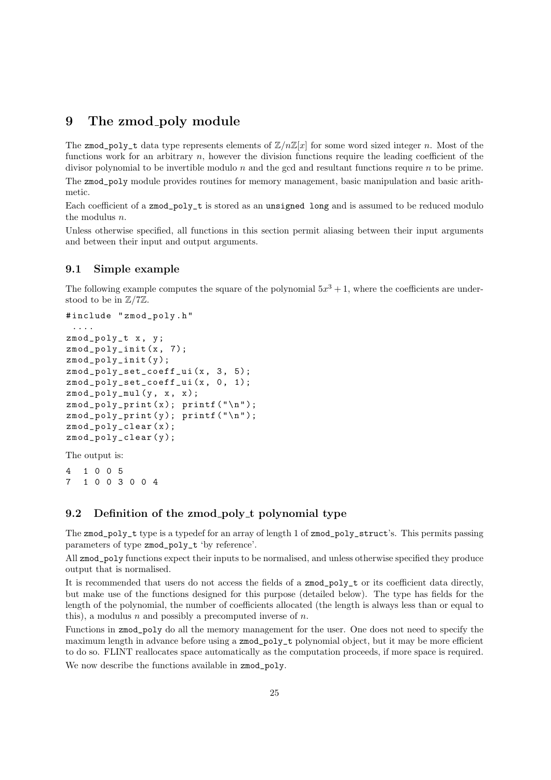### <span id="page-24-0"></span>9 The zmod poly module

The zmod\_poly\_t data type represents elements of  $\mathbb{Z}/n\mathbb{Z}[x]$  for some word sized integer n. Most of the functions work for an arbitrary  $n$ , however the division functions require the leading coefficient of the divisor polynomial to be invertible modulo  $n$  and the gcd and resultant functions require  $n$  to be prime. The zmod\_poly module provides routines for memory management, basic manipulation and basic arithmetic.

Each coefficient of a zmod\_poly\_t is stored as an unsigned long and is assumed to be reduced modulo the modulus n.

Unless otherwise specified, all functions in this section permit aliasing between their input arguments and between their input and output arguments.

#### <span id="page-24-1"></span>9.1 Simple example

The following example computes the square of the polynomial  $5x^3 + 1$ , where the coefficients are understood to be in Z/7Z.

```
# include " zmod_poly . h "
 ....
zmod_poly_t x , y ;
zmod_poly_init (x , 7);
zmod_poly_init ( y );
zmod_poly_set_coeff_ui(x, 3, 5);
zmod_poly_set_coeff_ui(x, 0, 1);
zmod\_poly\_mul(y, x, x);zmod\_poly\_print(x); print('\\n");zmod\_poly\_print(y); print('\\n");
zmod_poly_clear ( x );
zmod_poly_clear ( y );
```

```
The output is:
```
4 1 0 0 5 7 1 0 0 3 0 0 4

#### <span id="page-24-2"></span>9.2 Definition of the zmod\_poly\_t polynomial type

The zmod\_poly\_t type is a typedef for an array of length 1 of zmod\_poly\_struct's. This permits passing parameters of type zmod\_poly\_t 'by reference'.

All zmod\_poly functions expect their inputs to be normalised, and unless otherwise specified they produce output that is normalised.

It is recommended that users do not access the fields of a zmod\_poly\_t or its coefficient data directly, but make use of the functions designed for this purpose (detailed below). The type has fields for the length of the polynomial, the number of coefficients allocated (the length is always less than or equal to this), a modulus n and possibly a precomputed inverse of  $n$ .

Functions in zmod\_poly do all the memory management for the user. One does not need to specify the maximum length in advance before using a zmod\_poly\_t polynomial object, but it may be more efficient to do so. FLINT reallocates space automatically as the computation proceeds, if more space is required. We now describe the functions available in zmod poly.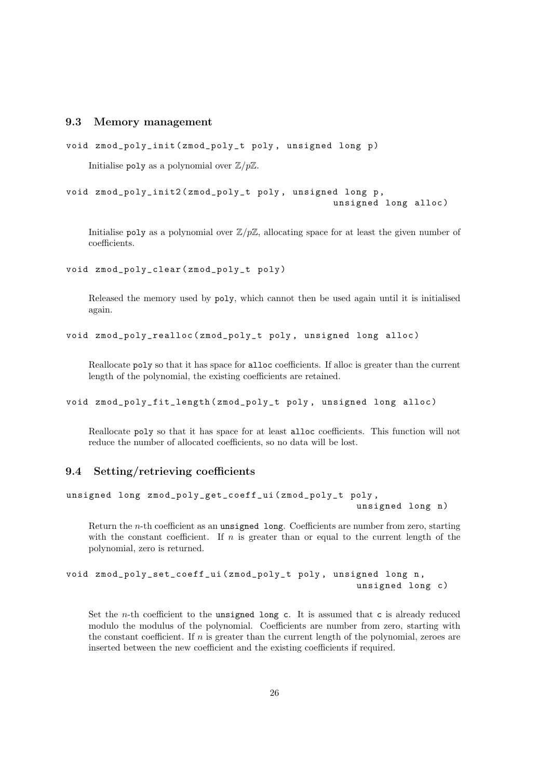#### <span id="page-25-0"></span>9.3 Memory management

```
void zmod_poly_init ( zmod_poly_t poly , unsigned long p )
```
Initialise poly as a polynomial over  $\mathbb{Z}/p\mathbb{Z}$ .

void zmod\_poly\_init2 ( zmod\_poly\_t poly , unsigned long p , unsigned long alloc )

Initialise poly as a polynomial over  $\mathbb{Z}/p\mathbb{Z}$ , allocating space for at least the given number of coefficients.

void zmod\_poly\_clear ( zmod\_poly\_t poly )

Released the memory used by poly, which cannot then be used again until it is initialised again.

void zmod\_poly\_realloc ( zmod\_poly\_t poly , unsigned long alloc )

Reallocate poly so that it has space for alloc coefficients. If alloc is greater than the current length of the polynomial, the existing coefficients are retained.

void zmod\_poly\_fit\_length ( zmod\_poly\_t poly , unsigned long alloc )

Reallocate poly so that it has space for at least alloc coefficients. This function will not reduce the number of allocated coefficients, so no data will be lost.

#### <span id="page-25-1"></span>9.4 Setting/retrieving coefficients

```
unsigned long zmod_poly_get_coeff_ui ( zmod_poly_t poly ,
                                                     unsigned long n)
```
Return the n-th coefficient as an unsigned long. Coefficients are number from zero, starting with the constant coefficient. If  $n$  is greater than or equal to the current length of the polynomial, zero is returned.

```
void zmod_poly_set_coeff_ui ( zmod_poly_t poly , unsigned long n ,
                                                     unsigned long c)
```
Set the *n*-th coefficient to the unsigned long c. It is assumed that c is already reduced modulo the modulus of the polynomial. Coefficients are number from zero, starting with the constant coefficient. If  $n$  is greater than the current length of the polynomial, zeroes are inserted between the new coefficient and the existing coefficients if required.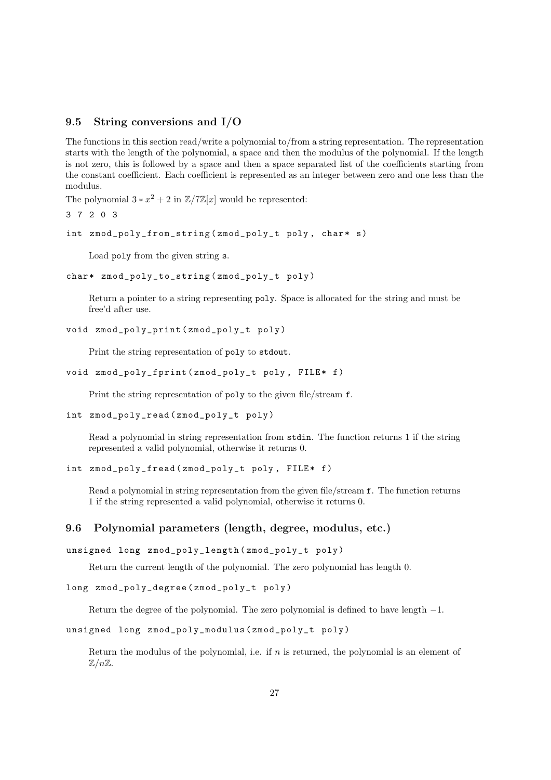#### <span id="page-26-0"></span>9.5 String conversions and I/O

The functions in this section read/write a polynomial to/from a string representation. The representation starts with the length of the polynomial, a space and then the modulus of the polynomial. If the length is not zero, this is followed by a space and then a space separated list of the coefficients starting from the constant coefficient. Each coefficient is represented as an integer between zero and one less than the modulus.

The polynomial  $3 * x^2 + 2$  in  $\mathbb{Z}/7\mathbb{Z}[x]$  would be represented:

```
3 7 2 0 3
```

```
int zmod_poly_from_string (zmod_poly_t poly, char* s)
```
Load poly from the given string s.

```
char* zmod_poly_to_string (zmod_poly_t poly)
```
Return a pointer to a string representing poly. Space is allocated for the string and must be free'd after use.

```
void zmod_poly_print ( zmod_poly_t poly )
```
Print the string representation of poly to stdout.

```
void zmod_poly_fprint ( zmod_poly_t poly , FILE * f )
```
Print the string representation of poly to the given file/stream f.

```
int zmod_poly_read ( zmod_poly_t poly )
```
Read a polynomial in string representation from stdin. The function returns 1 if the string represented a valid polynomial, otherwise it returns 0.

```
int zmod_poly_fread ( zmod_poly_t poly , FILE * f )
```
Read a polynomial in string representation from the given file/stream f. The function returns 1 if the string represented a valid polynomial, otherwise it returns 0.

#### <span id="page-26-1"></span>9.6 Polynomial parameters (length, degree, modulus, etc.)

```
unsigned long zmod_poly_length ( zmod_poly_t poly )
```
Return the current length of the polynomial. The zero polynomial has length 0.

```
long zmod_poly_degree ( zmod_poly_t poly )
```
Return the degree of the polynomial. The zero polynomial is defined to have length −1.

```
unsigned long zmod_poly_modulus ( zmod_poly_t poly )
```
Return the modulus of the polynomial, i.e. if n is returned, the polynomial is an element of  $\mathbb{Z}/n\mathbb{Z}$ .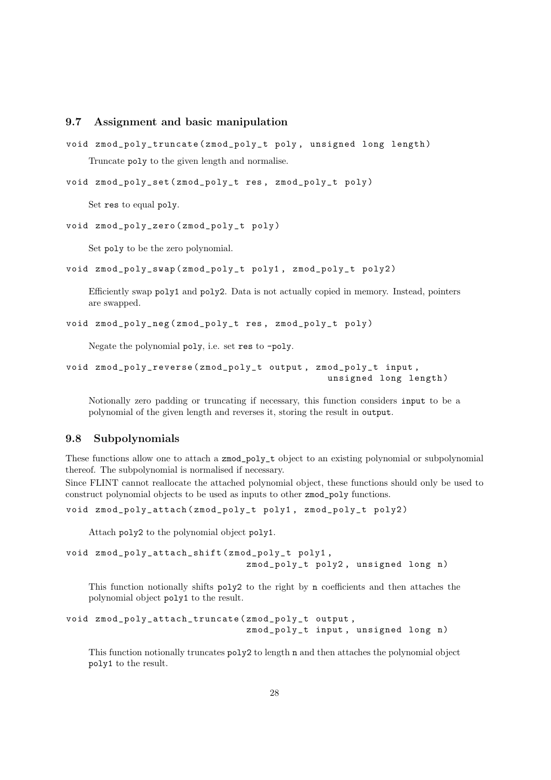#### <span id="page-27-0"></span>9.7 Assignment and basic manipulation

```
void zmod_poly_truncate ( zmod_poly_t poly , unsigned long length )
    Truncate poly to the given length and normalise.
```

```
void zmod_poly_set ( zmod_poly_t res , zmod_poly_t poly )
```
Set res to equal poly.

```
void zmod_poly_zero ( zmod_poly_t poly )
```
Set poly to be the zero polynomial.

void zmod\_poly\_swap ( zmod\_poly\_t poly1 , zmod\_poly\_t poly2 )

Efficiently swap poly1 and poly2. Data is not actually copied in memory. Instead, pointers are swapped.

```
void zmod_poly_neg ( zmod_poly_t res , zmod_poly_t poly )
```
Negate the polynomial poly, i.e. set res to -poly.

```
void zmod_poly_reverse ( zmod_poly_t output , zmod_poly_t input ,
                                                unsigned long length )
```
Notionally zero padding or truncating if necessary, this function considers input to be a polynomial of the given length and reverses it, storing the result in output.

#### <span id="page-27-1"></span>9.8 Subpolynomials

These functions allow one to attach a zmod\_poly\_t object to an existing polynomial or subpolynomial thereof. The subpolynomial is normalised if necessary.

Since FLINT cannot reallocate the attached polynomial object, these functions should only be used to construct polynomial objects to be used as inputs to other zmod\_poly functions.

```
void zmod_poly_attach ( zmod_poly_t poly1 , zmod_poly_t poly2 )
```
Attach poly2 to the polynomial object poly1.

```
void zmod_poly_attach_shift ( zmod_poly_t poly1 ,
                                zmod_poly_t poly2, unsigned long n)
```
This function notionally shifts poly2 to the right by n coefficients and then attaches the polynomial object poly1 to the result.

```
void zmod_poly_attach_truncate ( zmod_poly_t output ,
                                zmod_poly_t input, unsigned long n)
```
This function notionally truncates poly2 to length n and then attaches the polynomial object poly1 to the result.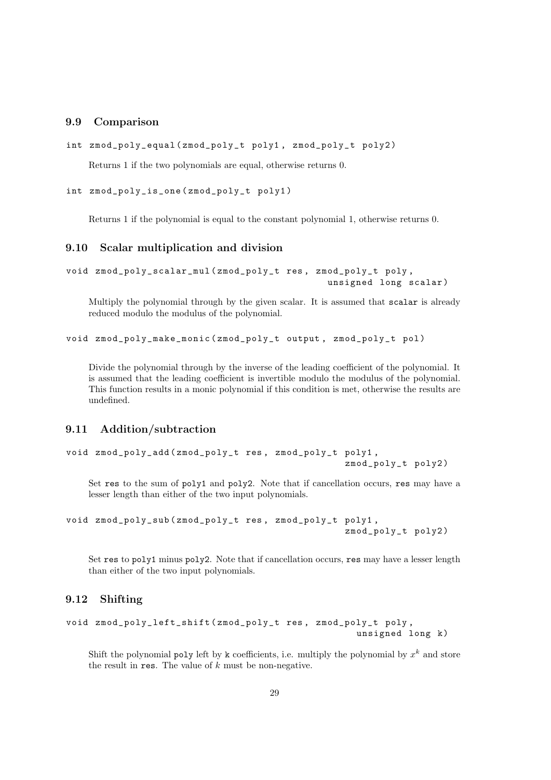#### <span id="page-28-0"></span>9.9 Comparison

```
int zmod_poly_equal ( zmod_poly_t poly1 , zmod_poly_t poly2 )
```
Returns 1 if the two polynomials are equal, otherwise returns 0.

```
int zmod_poly_is_one ( zmod_poly_t poly1 )
```
Returns 1 if the polynomial is equal to the constant polynomial 1, otherwise returns 0.

#### <span id="page-28-1"></span>9.10 Scalar multiplication and division

```
void zmod_poly_scalar_mul ( zmod_poly_t res , zmod_poly_t poly ,
                                                unsigned long scalar )
```
Multiply the polynomial through by the given scalar. It is assumed that scalar is already reduced modulo the modulus of the polynomial.

void zmod\_poly\_make\_monic ( zmod\_poly\_t output , zmod\_poly\_t pol )

Divide the polynomial through by the inverse of the leading coefficient of the polynomial. It is assumed that the leading coefficient is invertible modulo the modulus of the polynomial. This function results in a monic polynomial if this condition is met, otherwise the results are undefined.

#### <span id="page-28-2"></span>9.11 Addition/subtraction

```
void zmod_poly_add ( zmod_poly_t res , zmod_poly_t poly1 ,
                                                    zmod_poly_t poly2 )
```
Set res to the sum of poly1 and poly2. Note that if cancellation occurs, res may have a lesser length than either of the two input polynomials.

```
void zmod_poly_sub ( zmod_poly_t res , zmod_poly_t poly1 ,
                                                    zmod_poly_t poly2 )
```
Set res to poly1 minus poly2. Note that if cancellation occurs, res may have a lesser length than either of the two input polynomials.

#### <span id="page-28-3"></span>9.12 Shifting

```
void zmod_poly_left_shift ( zmod_poly_t res , zmod_poly_t poly ,
                                                     unsigned long k)
```
Shift the polynomial poly left by k coefficients, i.e. multiply the polynomial by  $x^k$  and store the result in res. The value of  $k$  must be non-negative.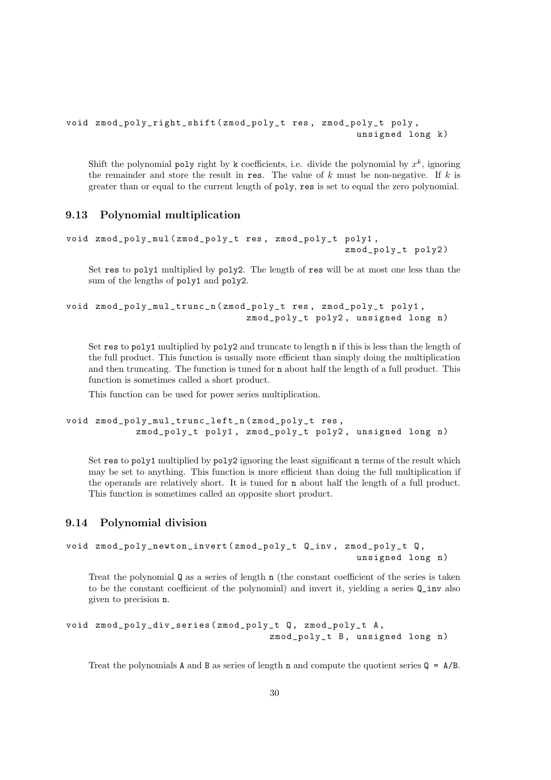```
void zmod_poly_right_shift ( zmod_poly_t res , zmod_poly_t poly ,
                                                     unsigned long k)
```
Shift the polynomial **poly** right by k coefficients, i.e. divide the polynomial by  $x^k$ , ignoring the remainder and store the result in res. The value of  $k$  must be non-negative. If  $k$  is greater than or equal to the current length of poly, res is set to equal the zero polynomial.

#### <span id="page-29-0"></span>9.13 Polynomial multiplication

```
void zmod_poly_mul ( zmod_poly_t res , zmod_poly_t poly1 ,
                                                   zmod poly t poly2)
```
Set res to poly1 multiplied by poly2. The length of res will be at most one less than the sum of the lengths of poly1 and poly2.

```
void zmod_poly_mul_trunc_n ( zmod_poly_t res , zmod_poly_t poly1 ,
                                zmod_poly_t poly2, unsigned long n)
```
Set res to poly1 multiplied by poly2 and truncate to length n if this is less than the length of the full product. This function is usually more efficient than simply doing the multiplication and then truncating. The function is tuned for n about half the length of a full product. This function is sometimes called a short product.

This function can be used for power series multiplication.

```
void zmod_poly_mul_trunc_left_n ( zmod_poly_t res ,
            zmod_poly_t poly1, zmod_poly_t poly2, unsigned long n)
```
Set res to poly1 multiplied by poly2 ignoring the least significant n terms of the result which may be set to anything. This function is more efficient than doing the full multiplication if the operands are relatively short. It is tuned for n about half the length of a full product. This function is sometimes called an opposite short product.

#### <span id="page-29-1"></span>9.14 Polynomial division

```
void zmod_poly_newton_invert (zmod_poly_t Q_inv, zmod_poly_t Q,
                                                   unsigned long n)
```
Treat the polynomial Q as a series of length n (the constant coefficient of the series is taken to be the constant coefficient of the polynomial) and invert it, yielding a series Q\_inv also given to precision n.

```
void zmod_poly_div_series ( zmod_poly_t Q , zmod_poly_t A ,
                                     zmod_poly_t B, unsigned long n)
```
Treat the polynomials **A** and **B** as series of length **n** and compute the quotient series  $Q = A/B$ .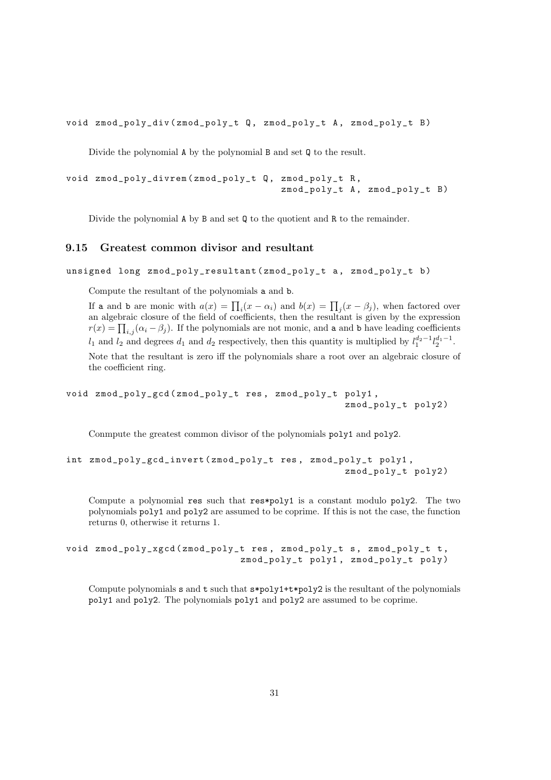void zmod\_poly\_div ( zmod\_poly\_t Q , zmod\_poly\_t A , zmod\_poly\_t B )

Divide the polynomial A by the polynomial B and set Q to the result.

```
void zmod_poly_divrem ( zmod_poly_t Q , zmod_poly_t R ,
                                        zmod\_poly_t A, zmod\_poly_t B)
```
Divide the polynomial A by B and set Q to the quotient and R to the remainder.

#### <span id="page-30-0"></span>9.15 Greatest common divisor and resultant

unsigned long zmod poly resultant ( zmod poly t a , zmod poly t b )

Compute the resultant of the polynomials a and b.

If a and b are monic with  $a(x) = \prod_i (x - \alpha_i)$  and  $b(x) = \prod_j (x - \beta_j)$ , when factored over an algebraic closure of the field of coefficients, then the resultant is given by the expression  $r(x) = \prod_{i,j} (\alpha_i - \beta_j)$ . If the polynomials are not monic, and a and b have leading coefficients  $l_1$  and  $l_2$  and degrees  $d_1$  and  $d_2$  respectively, then this quantity is multiplied by  $l_1^{d_2-1}l_2^{d_1-1}$ . Note that the resultant is zero iff the polynomials share a root over an algebraic closure of the coefficient ring.

void zmod\_poly\_gcd ( zmod\_poly\_t res , zmod\_poly\_t poly1 , zmod\_poly\_t poly2 )

Conmpute the greatest common divisor of the polynomials poly1 and poly2.

```
int zmod_poly_gcd_invert ( zmod_poly_t res , zmod_poly_t poly1 ,
                                                    zmod_poly_t poly2 )
```
Compute a polynomial res such that res\*poly1 is a constant modulo poly2. The two polynomials poly1 and poly2 are assumed to be coprime. If this is not the case, the function returns 0, otherwise it returns 1.

```
void zmod_poly_xgcd ( zmod_poly_t res , zmod_poly_t s , zmod_poly_t t ,
                                zmod_poly_t poly1 , zmod_poly_t poly )
```
Compute polynomials  $s$  and  $t$  such that  $s * poly1 + t * poly2$  is the resultant of the polynomials poly1 and poly2. The polynomials poly1 and poly2 are assumed to be coprime.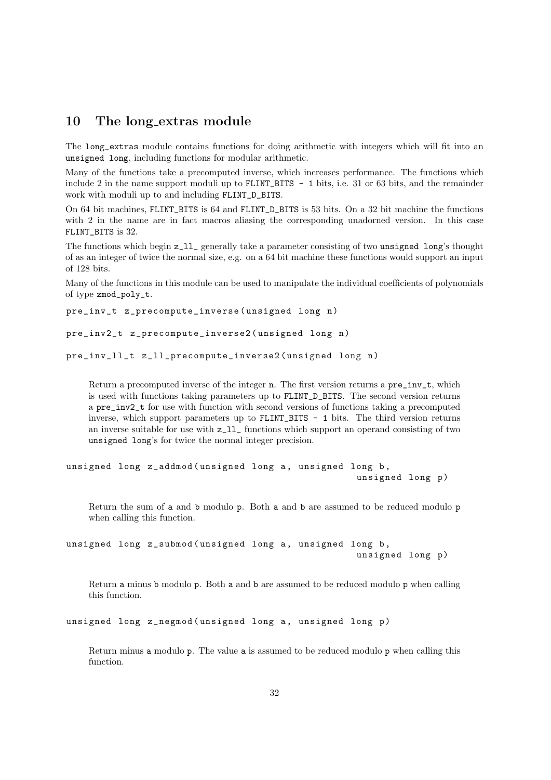### <span id="page-31-0"></span>10 The long extras module

The long\_extras module contains functions for doing arithmetic with integers which will fit into an unsigned long, including functions for modular arithmetic.

Many of the functions take a precomputed inverse, which increases performance. The functions which include 2 in the name support moduli up to FLINT\_BITS - 1 bits, i.e. 31 or 63 bits, and the remainder work with moduli up to and including FLINT\_D\_BITS.

On 64 bit machines, FLINT\_BITS is 64 and FLINT\_D\_BITS is 53 bits. On a 32 bit machine the functions with 2 in the name are in fact macros aliasing the corresponding unadorned version. In this case FLINT\_BITS is 32.

The functions which begin z\_ll\_ generally take a parameter consisting of two unsigned long's thought of as an integer of twice the normal size, e.g. on a 64 bit machine these functions would support an input of 128 bits.

Many of the functions in this module can be used to manipulate the individual coefficients of polynomials of type zmod\_poly\_t.

```
pre_inv_t z_precompute_inverse (unsigned long n)
```

```
pre_inv2_t z_precompute_inverse2 ( unsigned long n )
```

```
pre_inv_ll_t z_ll_precompute_inverse2 ( unsigned long n )
```
Return a precomputed inverse of the integer n. The first version returns a pre\_inv\_t, which is used with functions taking parameters up to FLINT\_D\_BITS. The second version returns a pre\_inv2\_t for use with function with second versions of functions taking a precomputed inverse, which support parameters up to FLINT\_BITS - 1 bits. The third version returns an inverse suitable for use with z\_ll\_ functions which support an operand consisting of two unsigned long's for twice the normal integer precision.

```
unsigned long z_addmod (unsigned long a, unsigned long b,
                                                    unsigned long p)
```
Return the sum of a and b modulo p. Both a and b are assumed to be reduced modulo p when calling this function.

```
unsigned long z_submod (unsigned long a, unsigned long b,
                                                    unsigned long p)
```
Return a minus b modulo p. Both a and b are assumed to be reduced modulo p when calling this function.

```
unsigned long z_negmod (unsigned long a, unsigned long p)
```
Return minus a modulo p. The value a is assumed to be reduced modulo p when calling this function.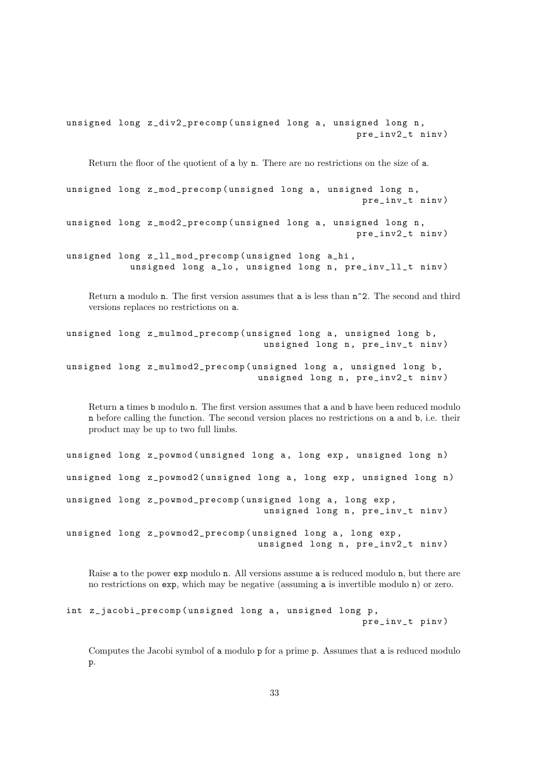unsigned long z\_div2\_precomp (unsigned long a, unsigned long n, pre\_inv2\_t ninv )

Return the floor of the quotient of a by n. There are no restrictions on the size of a.

unsigned long z\_mod\_precomp (unsigned long a, unsigned long n, pre\_inv\_t ninv )

unsigned long z\_mod2\_precomp (unsigned long a, unsigned long n, pre\_inv2\_t ninv )

unsigned long z\_ll\_mod\_precomp ( unsigned long a\_hi , unsigned long a\_lo, unsigned long n, pre\_inv\_ll\_t ninv)

Return a modulo n. The first version assumes that a is less than  $n^2$ . The second and third versions replaces no restrictions on a.

unsigned long z\_mulmod\_precomp (unsigned long a, unsigned long b, unsigned long n, pre\_inv\_t ninv) unsigned long z\_mulmod2\_precomp (unsigned long a, unsigned long b, unsigned long n, pre\_inv2\_t ninv)

Return a times b modulo n. The first version assumes that a and b have been reduced modulo n before calling the function. The second version places no restrictions on a and b, i.e. their product may be up to two full limbs.

unsigned long z\_powmod (unsigned long a, long exp, unsigned long n) unsigned long z\_powmod2 (unsigned long a, long exp, unsigned long n) unsigned long z\_powmod\_precomp (unsigned long a, long exp, unsigned long n, pre\_inv\_t ninv) unsigned long z\_powmod2\_precomp (unsigned long a, long exp, unsigned long n, pre\_inv2\_t ninv)

Raise a to the power exp modulo n. All versions assume a is reduced modulo n, but there are no restrictions on exp, which may be negative (assuming a is invertible modulo n) or zero.

```
int z_jacobi_precomp (unsigned long a, unsigned long p,
                                                     pre_inv_t pinv )
```
Computes the Jacobi symbol of a modulo p for a prime p. Assumes that a is reduced modulo p.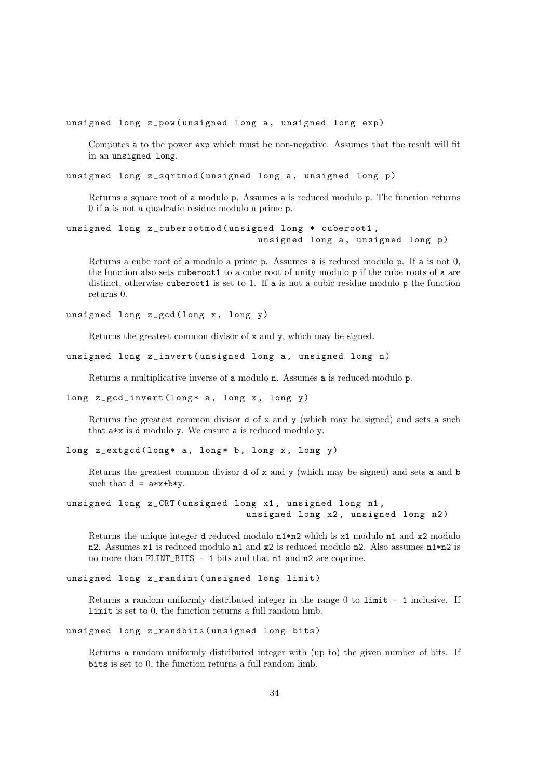unsigned long z\_pow (unsigned long a, unsigned long exp)

Computes a to the power exp which must be non-negative. Assumes that the result will fit in an unsigned long.

unsigned long z\_sqrtmod (unsigned long a, unsigned long p)

Returns a square root of a modulo p. Assumes a is reduced modulo p. The function returns 0 if a is not a quadratic residue modulo a prime p.

```
unsigned long z_cuberootmod ( unsigned long * cuberoot1 ,
                                  unsigned long a, unsigned long p)
```
Returns a cube root of a modulo a prime p. Assumes a is reduced modulo p. If a is not 0, the function also sets cuberoot1 to a cube root of unity modulo p if the cube roots of a are distinct, otherwise cuberoot1 is set to 1. If a is not a cubic residue modulo p the function returns 0.

unsigned long z\_gcd (long x, long y)

Returns the greatest common divisor of x and y, which may be signed.

```
unsigned long z_invert (unsigned long a, unsigned long n)
```
Returns a multiplicative inverse of a modulo n. Assumes a is reduced modulo p.

```
long z_gcd_invert (long* a, long x, long y)
```
Returns the greatest common divisor d of x and y (which may be signed) and sets a such that a\*x is d modulo y. We ensure a is reduced modulo y.

long z\_extgcd (long\* a, long\* b, long x, long y)

Returns the greatest common divisor d of x and y (which may be signed) and sets a and b such that  $d = a*x+b*y$ .

```
unsigned long z_CRT ( unsigned long x1 , unsigned long n1 ,
                                unsigned long x2, unsigned long n2)
```
Returns the unique integer d reduced modulo n1\*n2 which is x1 modulo n1 and x2 modulo n2. Assumes x1 is reduced modulo n1 and x2 is reduced modulo n2. Also assumes n1\*n2 is no more than FLINT\_BITS - 1 bits and that n1 and n2 are coprime.

```
unsigned long z_randint ( unsigned long limit )
```
Returns a random uniformly distributed integer in the range 0 to limit - 1 inclusive. If limit is set to 0, the function returns a full random limb.

```
unsigned long z_randbits ( unsigned long bits )
```
Returns a random uniformly distributed integer with (up to) the given number of bits. If bits is set to 0, the function returns a full random limb.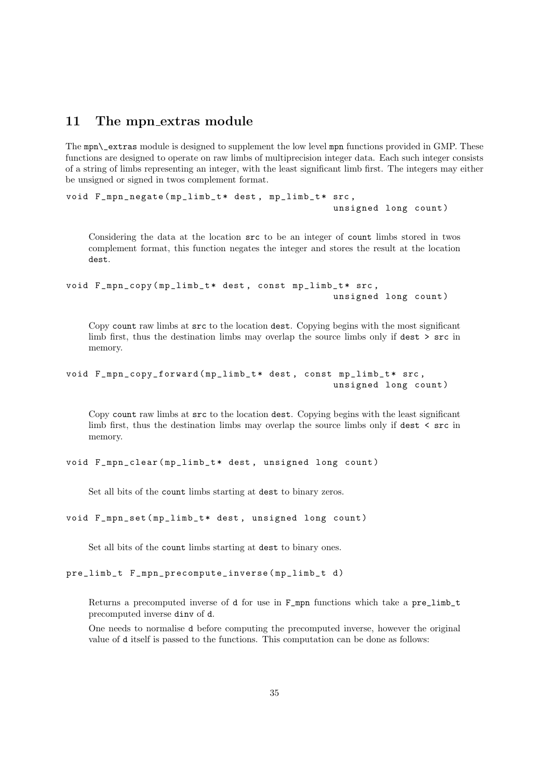### <span id="page-34-0"></span>11 The mpn\_extras module

The mpn\\_extras module is designed to supplement the low level mpn functions provided in GMP. These functions are designed to operate on raw limbs of multiprecision integer data. Each such integer consists of a string of limbs representing an integer, with the least significant limb first. The integers may either be unsigned or signed in twos complement format.

```
void F_mpn_negate (mp_limb_t* dest, mp_limb_t* src,
                                                unsigned long count )
```
Considering the data at the location src to be an integer of count limbs stored in twos complement format, this function negates the integer and stores the result at the location dest.

```
void F_mpn_copy (mp_limb_t* dest, const mp_limb_t* src,
                                                unsigned long count )
```
Copy count raw limbs at src to the location dest. Copying begins with the most significant limb first, thus the destination limbs may overlap the source limbs only if dest > src in memory.

```
void F_mpn_copy_forward (mp_limb_t* dest, const mp_limb_t* src,
                                                unsigned long count )
```
Copy count raw limbs at src to the location dest. Copying begins with the least significant limb first, thus the destination limbs may overlap the source limbs only if dest < src in memory.

void F\_mpn\_clear ( mp\_limb\_t \* dest , unsigned long count )

Set all bits of the count limbs starting at dest to binary zeros.

```
void F_mpn_set ( mp_limb_t * dest , unsigned long count )
```
Set all bits of the count limbs starting at dest to binary ones.

pre\_limb\_t F\_mpn\_precompute\_inverse(mp\_limb\_t d)

Returns a precomputed inverse of d for use in F\_mpn functions which take a pre\_limb\_t precomputed inverse dinv of d.

One needs to normalise d before computing the precomputed inverse, however the original value of d itself is passed to the functions. This computation can be done as follows: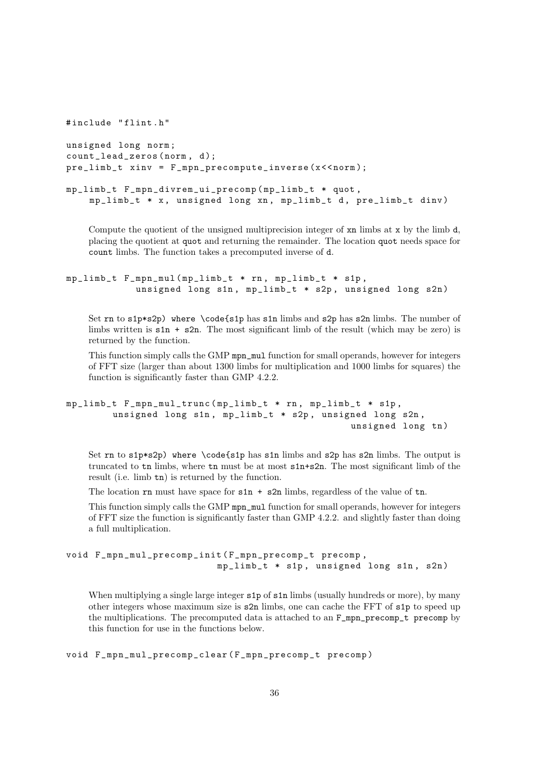```
#include "flint.h"
unsigned long norm ;
count_lead_zeros (norm, d);
pre_limb_t xinv = F_mpn_precompute_inverse (x < < norm );
mp_limb_t F_mpn_divrem_ui_precomp ( mp_limb_t * quot ,
    mp_limb_t * x , unsigned long xn , mp_limb_t d , pre_limb_t dinv )
```
Compute the quotient of the unsigned multiprecision integer of xn limbs at x by the limb d, placing the quotient at quot and returning the remainder. The location quot needs space for count limbs. The function takes a precomputed inverse of d.

```
mp_limb_t F_mpn_mul ( mp_limb_t * rn , mp_limb_t * s1p ,
            unsigned long s1n, mp_limb_t * s2p, unsigned long s2n)
```
Set rn to s1p\*s2p) where \code{s1p has s1n limbs and s2p has s2n limbs. The number of limbs written is  $\sin$  +  $\sin$ . The most significant limb of the result (which may be zero) is returned by the function.

This function simply calls the GMP mpn\_mul function for small operands, however for integers of FFT size (larger than about 1300 limbs for multiplication and 1000 limbs for squares) the function is significantly faster than GMP 4.2.2.

```
mp_limb_t F_mpn_mul_trunc ( mp_limb_t * rn , mp_limb_t * s1p ,
        unsigned long s1n, mp_limb_t * s2p, unsigned long s2n,
                                                   unsigned long tn)
```
Set rn to s1p\*s2p) where \code{s1p has s1n limbs and s2p has s2n limbs. The output is truncated to tn limbs, where tn must be at most s1n+s2n. The most significant limb of the result (i.e. limb tn) is returned by the function.

The location  $rn$  must have space for  $s1n + s2n$  limbs, regardless of the value of  $tn$ .

This function simply calls the GMP mpn\_mul function for small operands, however for integers of FFT size the function is significantly faster than GMP 4.2.2. and slightly faster than doing a full multiplication.

```
void F_mpn_mul_precomp_init ( F_mpn_precomp_t precomp ,
                            mp_limb_t * s1p , unsigned long s1n , s2n )
```
When multiplying a single large integer  $s1p$  of  $s1n$  limbs (usually hundreds or more), by many other integers whose maximum size is s2n limbs, one can cache the FFT of s1p to speed up the multiplications. The precomputed data is attached to an F\_mpn\_precomp\_t precomp by this function for use in the functions below.

void F\_mpn\_mul\_precomp\_clear ( F\_mpn\_precomp\_t precomp )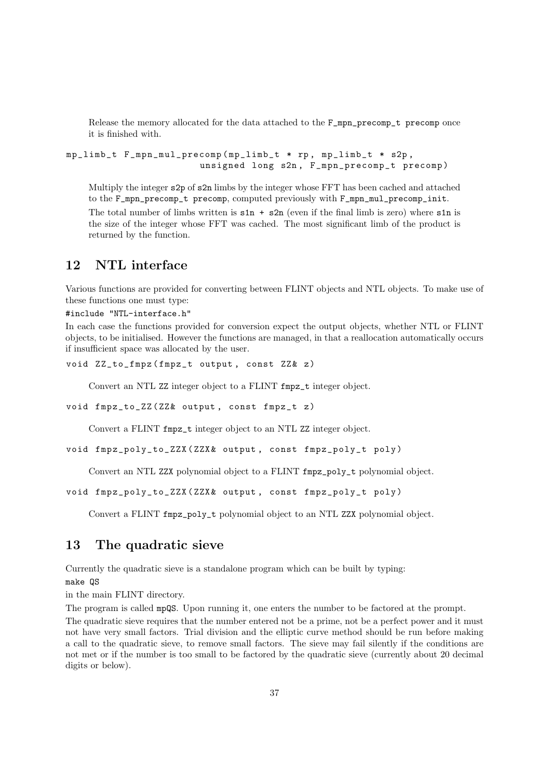Release the memory allocated for the data attached to the F\_mpn\_precomp\_t precomp once it is finished with.

mp\_limb\_t F\_mpn\_mul\_precomp ( mp\_limb\_t \* rp , mp\_limb\_t \* s2p , unsigned long s2n , F\_mpn\_precomp\_t precomp )

Multiply the integer s2p of s2n limbs by the integer whose FFT has been cached and attached to the F\_mpn\_precomp\_t precomp, computed previously with F\_mpn\_mul\_precomp\_init.

The total number of limbs written is  $\sin + \sin$  (even if the final limb is zero) where  $\sin$  is the size of the integer whose FFT was cached. The most significant limb of the product is returned by the function.

### <span id="page-36-0"></span>12 NTL interface

Various functions are provided for converting between FLINT objects and NTL objects. To make use of these functions one must type:

#include "NTL-interface.h"

In each case the functions provided for conversion expect the output objects, whether NTL or FLINT objects, to be initialised. However the functions are managed, in that a reallocation automatically occurs if insufficient space was allocated by the user.

void ZZ\_to\_fmpz (fmpz\_t output, const ZZ& z)

Convert an NTL ZZ integer object to a FLINT fmpz\_t integer object.

```
void fmpz_to_ZZ ( ZZ & output, const fmpz_t z)
```
Convert a FLINT fmpz\_t integer object to an NTL ZZ integer object.

```
void fmpz_poly_to_ZZX ( ZZX & output , const fmpz_poly_t poly )
```
Convert an NTL ZZX polynomial object to a FLINT fmpz\_poly\_t polynomial object.

```
void fmpz_poly_to_ZZX (ZZX& output, const fmpz_poly_t poly)
```
Convert a FLINT fmpz\_poly\_t polynomial object to an NTL ZZX polynomial object.

### <span id="page-36-1"></span>13 The quadratic sieve

Currently the quadratic sieve is a standalone program which can be built by typing:

make QS

in the main FLINT directory.

The program is called mpQS. Upon running it, one enters the number to be factored at the prompt.

The quadratic sieve requires that the number entered not be a prime, not be a perfect power and it must not have very small factors. Trial division and the elliptic curve method should be run before making a call to the quadratic sieve, to remove small factors. The sieve may fail silently if the conditions are not met or if the number is too small to be factored by the quadratic sieve (currently about 20 decimal digits or below).